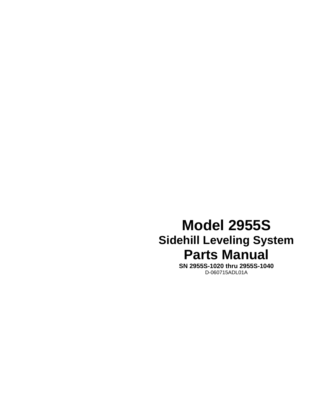# **Model 2955S Sidehill Leveling System Parts Manual**

**SN 2955S-1020 thru 2955S-1040**  D-060715ADL01A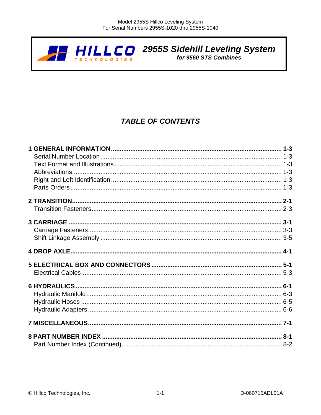

 $H \prod_{\substack{r \in C \text{ prime} \\ r \text{ is a non-odd} \\ r \text{ is a non-odd} }} G$  2955S Sidehill Leveling System

# **TABLE OF CONTENTS**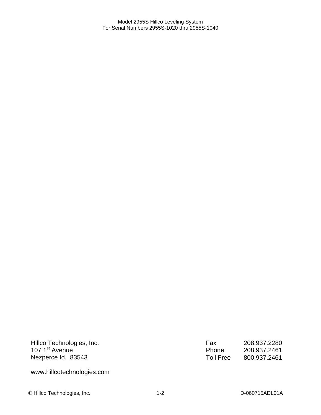Hillco Technologies, Inc. 107 1<sup>st</sup> Avenue Nezperce Id. 83543

Fax 208.937.2280<br>Phone 208.937.2461 Phone 208.937.2461 Toll Free 800.937.2461

www.hillcotechnologies.com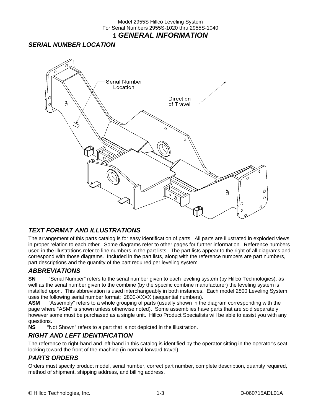### Model 2955S Hillco Leveling System For Serial Numbers 2955S-1020 thru 2955S-1040 **1** *GENERAL INFORMATION*

### *SERIAL NUMBER LOCATION*



### *TEXT FORMAT AND ILLUSTRATIONS*

The arrangement of this parts catalog is for easy identification of parts. All parts are illustrated in exploded views in proper relation to each other. Some diagrams refer to other pages for further information. Reference numbers used in the illustrations refer to line numbers in the part lists. The part lists appear to the right of all diagrams and correspond with those diagrams. Included in the part lists, along with the reference numbers are part numbers, part descriptions and the quantity of the part required per leveling system.

### *ABBREVIATIONS*

**SN** "Serial Number" refers to the serial number given to each leveling system (by Hillco Technologies), as well as the serial number given to the combine (by the specific combine manufacturer) the leveling system is installed upon. This abbreviation is used interchangeably in both instances. Each model 2800 Leveling System uses the following serial number format: 2800-XXXX (sequential numbers).

**ASM** "Assembly" refers to a whole grouping of parts (usually shown in the diagram corresponding with the page where "ASM" is shown unless otherwise noted). Some assemblies have parts that are sold separately, however some must be purchased as a single unit. Hillco Product Specialists will be able to assist you with any questions.

**NS** "Not Shown" refers to a part that is not depicted in the illustration.

### *RIGHT AND LEFT IDENTIFICATION*

The reference to right-hand and left-hand in this catalog is identified by the operator sitting in the operator's seat, looking toward the front of the machine (in normal forward travel).

### *PARTS ORDERS*

Orders must specify product model, serial number, correct part number, complete description, quantity required, method of shipment, shipping address, and billing address.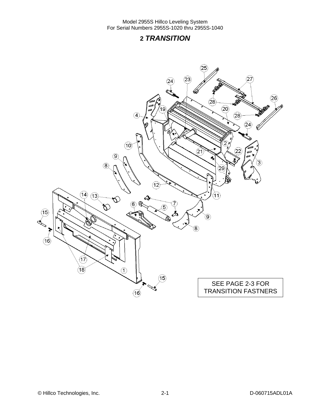# **2** *TRANSITION*

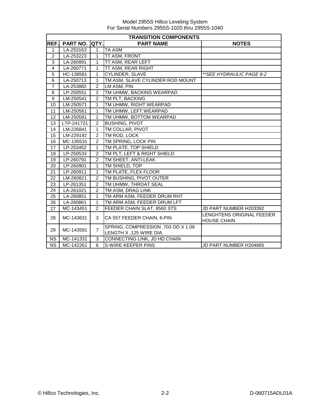|                | <b>TRANSITION COMPONENTS</b> |                |                                                               |                                                 |  |  |  |
|----------------|------------------------------|----------------|---------------------------------------------------------------|-------------------------------------------------|--|--|--|
| REF.           | PART NO.                     | QTY.           | <b>PART NAME</b>                                              | <b>NOTES</b>                                    |  |  |  |
| 1              | LA-253163                    | 1              | <b>TA ASM</b>                                                 |                                                 |  |  |  |
| $\overline{c}$ | LA-253223                    | 1              | TT ASM, FRONT                                                 |                                                 |  |  |  |
| 3              | LA-260891                    | 1              | TT ASM, REAR LEFT                                             |                                                 |  |  |  |
| 4              | LA-260771                    | 1              | TT ASM, REAR RIGHT                                            |                                                 |  |  |  |
| 5              | HC-138581                    | 1              | CYLINDER, SLAVE                                               | **SEE HYDRAULIC PAGE 8-2                        |  |  |  |
| 6              | LA-250713                    | 1              | TM ASM, SLAVE CYLINDER ROD MOUNT                              |                                                 |  |  |  |
| $\overline{7}$ | LA-253882                    | $\overline{2}$ | LM ASM, PIN                                                   |                                                 |  |  |  |
| 8              | LP-250551                    | $\overline{2}$ | TM UHMW, BACKING WEARPAD                                      |                                                 |  |  |  |
| 9              | LM-250541                    | $\overline{2}$ | TM PLT, BACKING                                               |                                                 |  |  |  |
| 10             | LM-250571                    | $\overline{1}$ | TM UHMW, RIGHT WEARPAD                                        |                                                 |  |  |  |
| 11             | LM-250561                    | 1              | TM UHMW, LEFT WEARPAD                                         |                                                 |  |  |  |
| 12             | LM-250581                    | 1              | TM UHMW, BOTTOM WEARPAD                                       |                                                 |  |  |  |
| 13             | LTP-241721                   | $\overline{2}$ | <b>BUSHING, PIVOT</b>                                         |                                                 |  |  |  |
| 14             | LM-226841                    | 1              | TM COLLAR, PIVOT                                              |                                                 |  |  |  |
| 15             | LM-229192                    | $\overline{2}$ | TM ROD, LOCK                                                  |                                                 |  |  |  |
| 16             | MC-135531                    | $\overline{2}$ | TM SPRING, LOCK PIN                                           |                                                 |  |  |  |
| 17             | LP-253452                    | $\mathbf{1}$   | TM PLATE, TOP SHIELD                                          |                                                 |  |  |  |
| 18             | LP-250533                    | $\overline{2}$ | TM PLT, LEFT & RIGHT SHIELD                                   |                                                 |  |  |  |
| 19             | LP-260791                    | $\overline{2}$ | TM SHEET, ANTI-LEAK                                           |                                                 |  |  |  |
| 20             | LP-260901                    | 1              | TM SHIELD, TOP                                                |                                                 |  |  |  |
| 21             | LP-260911                    | $\mathbf{1}$   | TM PLATE, FLEX FLOOR                                          |                                                 |  |  |  |
| 22             | LM-260821                    | $\overline{2}$ | TM BUSHING, PIVOT OUTER                                       |                                                 |  |  |  |
| 23             | LP-261351                    | $\overline{2}$ | TM UHMW, THROAT SEAL                                          |                                                 |  |  |  |
| 24             | LA-261021                    | $\overline{2}$ | TM ASM, DRAG LINK                                             |                                                 |  |  |  |
| 25             | LA-260851                    | $\mathbf{1}$   | TM ARM ASM, FEEDER DRUM RHT                                   |                                                 |  |  |  |
| 26             | LA-260861                    | $\mathbf{1}$   | TM ARM ASM, FEEDER DRUM LFT                                   |                                                 |  |  |  |
| 27             | MC-143451                    | $\overline{2}$ | FEEDER CHAIN SLAT, 9560 STS                                   | JD PART NUMBER H203392                          |  |  |  |
| 28             | MC-143631                    | 3              | CA 557 FEEDER CHAIN, 6-PIN                                    | LENGHTENS ORIGINAL FEEDER<br><b>HOUSE CHAIN</b> |  |  |  |
| 29             | MC-143591                    | $\overline{7}$ | SPRING, COMPRESSION .703 OD X 1.09<br>LENGTH X .125 WIRE DIA. |                                                 |  |  |  |
| <b>NS</b>      | MC-141331                    | 3              | CONNECTING LINK, JD HD CHAIN                                  |                                                 |  |  |  |
| <b>NS</b>      | MC-142261                    | 6              | S-WIRE KEEPER PINS                                            | JD PART NUMBER H204865                          |  |  |  |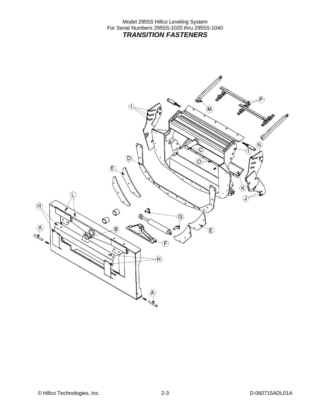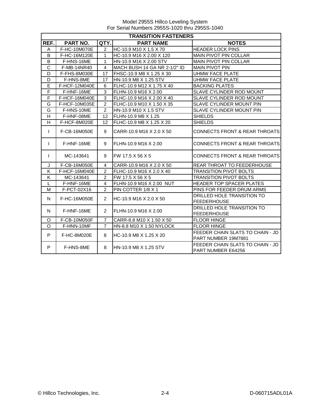|                         | <b>TRANSITION FASTENERS</b> |                |                                |                                                         |  |  |
|-------------------------|-----------------------------|----------------|--------------------------------|---------------------------------------------------------|--|--|
| REF.                    | PART NO.                    | QTY.           | <b>PART NAME</b>               | <b>NOTES</b>                                            |  |  |
| A                       | F-HC-10M070E                | $\mathfrak{p}$ | HC-10.9 M10 X 1.5 X 70         | <b>HEADER LOCK PINS</b>                                 |  |  |
| B                       | F-HC-16M120E                | 1              | HC-10.9 M16 X 2.00 X 120       | <b>MAIN PIVOT PIN COLLAR</b>                            |  |  |
| B                       | F-HNS-16ME                  | 1              | HN-10.9 M16 X 2.00 STV         | <b>MAIN PIVOT PIN COLLAR</b>                            |  |  |
| $\overline{\text{c}}$   | F-MB-14NR40                 | 4              | MACH BUSH 14 GA NR 2-1/2" ID   | <b>MAIN PIVOT PIN</b>                                   |  |  |
| D                       | F-FHS-8M030E                | 17             | FHSC-10.9 M8 X 1.25 X 30       | <b>UHMW FACE PLATE</b>                                  |  |  |
| D                       | F-HNS-8ME                   | 17             | HN-10.9 M8 X 1.25 STV          | <b>UHMW FACE PLATE</b>                                  |  |  |
| E                       | F-HCF-12M040E               | 6              | FLHC-10.9 M12 X 1.75 X 40      | <b>BACKING PLATES</b>                                   |  |  |
| $\overline{\mathsf{F}}$ | F-HNF-16ME                  | 3              | FLHN-10.9 M16 X 2.00           | <b>SLAVE CYLINDER ROD MOUNT</b>                         |  |  |
| $\overline{F}$          | F-HCF-16M040E               | 3              | FLHC-10.9 M16 X 2.00 X 40      | SLAVE CYLINDER ROD MOUNT                                |  |  |
| G                       | F-HCF-10M035E               | $\overline{2}$ | FLHC-10.9 M10 X 1.50 X 35      | SLAVE CYLINDER MOUNT PIN                                |  |  |
| G                       | F-HNS-10ME                  | $\overline{2}$ | HN-10.9 M10 X 1.5 STV          | SLAVE CYLINDER MOUNT PIN                                |  |  |
| H                       | F-HNF-08ME                  | 12             | FLHN-10.9 M8 X 1.25            | <b>SHIELDS</b>                                          |  |  |
| H                       | F-HCF-8M020E                | 12             | FLHC-10.9 M8 X 1.25 X 20       | <b>SHIELDS</b>                                          |  |  |
| $\mathsf{I}$            | F-CB-16M050E                | 9              | CARR-10.9 M16 X 2.0 X 50       | CONNECTS FRONT & REAR THROATS                           |  |  |
| $\mathbf{I}$            | F-HNF-16ME                  | 9              | FLHN-10.9 M16 X 2.00           | <b>CONNECTS FRONT &amp; REAR THROATS</b>                |  |  |
| $\mathbf{I}$            | MC-143641                   | 9              | FW 17.5 X 56 X 5               | CONNECTS FRONT & REAR THROATS                           |  |  |
| J                       | F-CB-16M050E                | $\overline{4}$ | CARR-10.9 M16 X 2.0 X 50       | REAR THROAT TO FEEDERHOUSE                              |  |  |
| $\overline{\mathsf{K}}$ | F-HCF-16M040E               | $\overline{2}$ | FLHC-10.9 M16 X 2.0 X 40       | <b>TRANSITION PIVOT BOLTS</b>                           |  |  |
| $\overline{\mathsf{K}}$ | MC-143641                   | $\overline{2}$ | FW 17.5 X 56 X 5               | <b>TRANSITION PIVOT BOLTS</b>                           |  |  |
| L                       | F-HNF-16ME                  | 4              | FLHN-10.9 M16 X 2.00 NUT       | HEADER TOP SPACER PLATES                                |  |  |
| M                       | F-PCT-02X16                 | $\overline{2}$ | PIN COTTER 1/8 X 1             | PINS FOR FEEDER DRUM ARMS                               |  |  |
| N                       | F-HC-16M050E                | $\overline{2}$ | HC-10.9 M16 X 2.0 X 50         | DRILLED HOLE TRANSITION TO<br><b>FEEDERHOUSE</b>        |  |  |
| N                       | F-HNF-16ME                  | $\overline{2}$ | FLHN-10.9 M16 X 2.00           | DRILLED HOLE TRANSITION TO<br>FEEDERHOUSE               |  |  |
| O                       | F-CB-10M050F                | $\overline{7}$ | CARR-8.8 M10 X 1.50 X 50       | <b>FLOOR HINGE</b>                                      |  |  |
| O                       | F-HNN-10MF                  | $\overline{7}$ | HN-8.8 M10 X 1.50 NYLOCK       | <b>FLOOR HINGE</b>                                      |  |  |
| P                       | F-HC-8M020E                 | 8              | HC-10.9 M8 X 1.25 X 20         | FEEDER CHAIN SLATS TO CHAIN - JD<br>PART NUMBER 19M7881 |  |  |
| P                       | F-HNS-8ME                   | 8              | <b>I</b> HN-10.9 M8 X 1.25 STV | FEEDER CHAIN SLATS TO CHAIN - JD<br>PART NUMBER E64256  |  |  |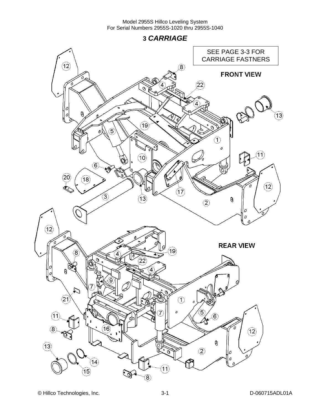**3** *CARRIAGE* 

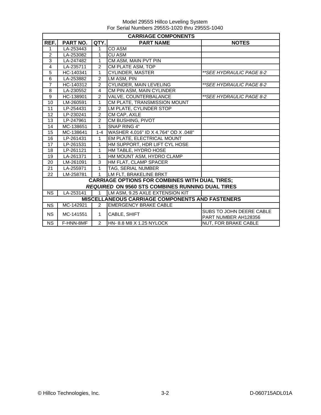|                        | <b>CARRIAGE COMPONENTS</b> |                |                                                         |                                                  |  |  |  |
|------------------------|----------------------------|----------------|---------------------------------------------------------|--------------------------------------------------|--|--|--|
| REF.                   | PART NO.                   | QTY.           | <b>PART NAME</b>                                        | <b>NOTES</b>                                     |  |  |  |
| 1                      | LA-253443                  | 1              | CO ASM                                                  |                                                  |  |  |  |
| $\overline{2}$         | LA-253082                  | 1              | <b>CU ASM</b>                                           |                                                  |  |  |  |
| 3                      | LA-247482                  | 1              | CM ASM, MAIN PVT PIN                                    |                                                  |  |  |  |
| 4                      | LA-235711                  | $\overline{2}$ | CM PLATE ASM, TOP                                       |                                                  |  |  |  |
| $\overline{5}$         | HC-140341                  | $\mathbf{1}$   | <b>CYLINDER, MASTER</b>                                 | ** SEE HYDRAULIC PAGE 8-2                        |  |  |  |
| $\overline{6}$         | LA-253882                  | $\overline{2}$ | LM ASM, PIN                                             |                                                  |  |  |  |
| $\overline{7}$         | HC-140312                  | $\overline{2}$ | CYLINDER, MAIN LEVELING                                 | ** SEE HYDRAULIC PAGE 8-2                        |  |  |  |
| 8                      | LA-230552                  | 4              | CM PIN ASM, MAIN CYLINDER                               |                                                  |  |  |  |
| 9                      | HC-138901                  | $\overline{2}$ | <b>VALVE, COUNTERBALANCE</b>                            | **SEE HYDRAULIC PAGE 8-2                         |  |  |  |
| 10                     | LM-260591                  | 1              | CM PLATE, TRANSMISSION MOUNT                            |                                                  |  |  |  |
| 11                     | LP-254431                  | $\overline{2}$ | LM PLATE, CYLINDER STOP                                 |                                                  |  |  |  |
| 12                     | LP-230241                  | $\overline{2}$ | CM CAP, AXLE                                            |                                                  |  |  |  |
| 13                     | LP-247961                  | $\overline{2}$ | CM BUSHING, PIVOT                                       |                                                  |  |  |  |
| 14                     | MC-138651                  | 1              | SNAP RING 4"                                            |                                                  |  |  |  |
| 15                     | MC-138641                  | $1 - 4$        | WASHER 4.016" ID X 4.764" OD X .048"                    |                                                  |  |  |  |
| 16                     | LP-261431                  | $\mathbf{1}$   | EM PLATE, ELECTRICAL MOUNT                              |                                                  |  |  |  |
| 17                     | LP-261531                  | 1              | HM SUPPORT, HDR LIFT CYL HOSE                           |                                                  |  |  |  |
| 18                     | LP-261121                  | 1              | HM TABLE, HYDRO HOSE                                    |                                                  |  |  |  |
| 19                     | LA-261371                  | $\mathbf{1}$   | HM MOUNT ASM, HYDRO CLAMP                               |                                                  |  |  |  |
| 20                     | LM-261091                  | 3              | HM FLAT, CLAMP SPACER                                   |                                                  |  |  |  |
| 21                     | LA-255971                  | $\mathbf{1}$   | TAG, SERIAL NUMBER                                      |                                                  |  |  |  |
| 22                     | LM-258781                  | 1              | LM FLT, BRAKELINE BRKT                                  |                                                  |  |  |  |
|                        |                            |                | <b>CARRIAGE OPTIONS FOR COMBINES WITH DUAL TIRES;</b>   |                                                  |  |  |  |
|                        |                            |                | <b>REQUIRED ON 9560 STS COMBINES RUNNING DUAL TIRES</b> |                                                  |  |  |  |
| $\overline{\text{NS}}$ | LA-253141                  | $\mathbf{1}$   | LM ASM, 9.25 AXLE EXTENSION KIT                         |                                                  |  |  |  |
|                        |                            |                | <b>MISCELLANEOUS CARRIAGE COMPONENTS AND FASTENERS</b>  |                                                  |  |  |  |
| <b>NS</b>              | MC-142921                  | $\overline{2}$ | <b>EMERGENCY BRAKE CABLE</b>                            |                                                  |  |  |  |
| <b>NS</b>              | MC-141551                  | $\mathbf{1}$   | CABLE, SHIFT                                            | SUBS TO JOHN DEERE CABLE<br>PART NUMBER AH128356 |  |  |  |
| NS.                    | F-HNN-8MF                  | $\overline{2}$ | <b>HN-8.8 M8 X 1.25 NYLOCK</b>                          | NUT, FOR BRAKE CABLE                             |  |  |  |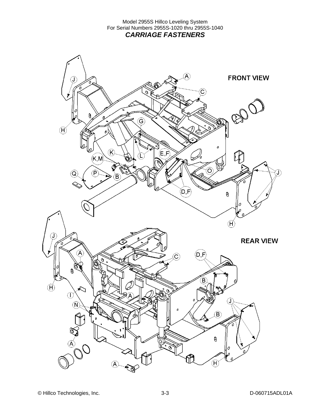### Model 2955S Hillco Leveling System For Serial Numbers 2955S-1020 thru 2955S-1040 *CARRIAGE FASTENERS*

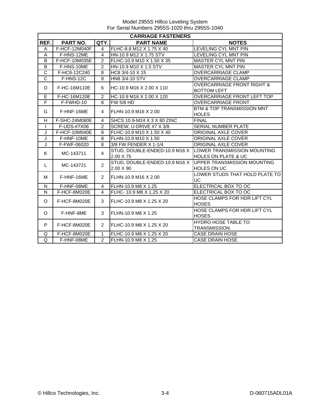|                         | <b>CARRIAGE FASTENERS</b> |                |                                            |                                                                                             |  |  |
|-------------------------|---------------------------|----------------|--------------------------------------------|---------------------------------------------------------------------------------------------|--|--|
| REF.                    | PART NO.                  | QTY.           | <b>PART NAME</b>                           | <b>NOTES</b>                                                                                |  |  |
| A                       | F-HCF-12M040F             | 4              | FLHC-8.8 M12 X 1.75 X 40                   | LEVELING CYL MNT PIN                                                                        |  |  |
| A                       | F-HNS-12ME                | 4              | HN-10.9 M12 X 1.75 STV                     | LEVELING CYL MNT PIN                                                                        |  |  |
| B                       | F-HCF-10M035E             | 2              | FLHC-10.9 M10 X 1.50 X 35                  | <b>MASTER CYL MNT PIN</b>                                                                   |  |  |
| B                       | F-HNS-10ME                | $\overline{2}$ | HN-10.9 M10 X 1.5 STV                      | <b>MASTER CYL MNT PIN</b>                                                                   |  |  |
| $\overline{C}$          | F-HC8-12C240              | 8              | HC8 3/4-10 X 15                            | <b>OVERCARRIAGE CLAMP</b>                                                                   |  |  |
| $\overline{\text{c}}$   | F-HNS-12C                 | 8              | <b>HN8 3/4-10 STV</b>                      | <b>OVERCARRIAGE CLAMP</b>                                                                   |  |  |
| D                       | F-HC-16M110E              | 6              | HC-10.9 M16 X 2.00 X 110                   | <b>OVERCARRIAGE FRONT RIGHT &amp;</b><br><b>BOTTOM LEFT</b>                                 |  |  |
| Ē                       | F-HC-16M120E              | 2              | HC-10.9 M16 X 2.00 X 120                   | OVERCARRIAGE FRONT LEFT TOP                                                                 |  |  |
| $\overline{\mathsf{F}}$ | F-FWHD-10                 | 8              | <b>FW 5/8 HD</b>                           | <b>OVERCARRIAGE FRONT</b>                                                                   |  |  |
| G                       | F-HNF-16ME                | 4              | FLHN-10.9 M16 X 2.00                       | BTM & TOP TRANSMISSION MNT<br><b>HOLES</b>                                                  |  |  |
| Н                       | F-SHC-24M080E             | $\overline{4}$ | SHCS 10.9-M24 X 3 X 80 ZINC                | <b>FINAL</b>                                                                                |  |  |
| $\mathbf{I}$            | F-UDS-#7X06               | $\overline{2}$ | SCREW, U-DRIVE #7 X 3/8                    | <b>SERIAL NUMBER PLATE</b>                                                                  |  |  |
| J                       | F-HCF-10M040E             | 8              | FLHC-10.9 M10 X 1.50 X 40                  | ORIGINAL AXLE COVER                                                                         |  |  |
| J                       | F-HNF-10ME                | $\overline{8}$ | FLHN-10.9 M10 X 1.50                       | ORIGINAL AXLE COVER                                                                         |  |  |
| J                       | F-FWF-06020               | 8              | 3/8 FW FENDER X 1-1/4                      | ORIGINAL AXLE COVER                                                                         |  |  |
| K                       | MC-143711                 | $\overline{4}$ | 2.00 X 75                                  | STUD, DOUBLE-ENDED-10.9 M16 X LOWER TRANSMISSION MOUNTING<br><b>HOLES ON PLATE &amp; UC</b> |  |  |
| L                       | MC-143721                 | $\overline{2}$ | STUD, DOUBLE-ENDED-10.9 M16 X<br>2.00 X 90 | UPPER TRANSMISSION MOUNTING<br><b>HOLES ON UC</b>                                           |  |  |
| M                       | F-HNF-16ME                | $\overline{2}$ | FLHN-10.9 M16 X 2.00                       | LOWER STUDS THAT HOLD PLATE TO<br>UC                                                        |  |  |
| N                       | F-HNF-08ME                | $\overline{4}$ | FLHN-10.9 M8 X 1.25                        | ELECTRICAL BOX TO OC                                                                        |  |  |
| N                       | F-HCF-8M020E              | $\overline{4}$ | FLHC- 10.9 M8 X 1.25 X 20                  | ELECTRICAL BOX TO OC                                                                        |  |  |
| $\Omega$                | F-HCF-8M020E              | 3              | IFLHC-10.9 M8 X 1.25 X 20                  | HOSE CLAMPS FOR HDR LIFT CYL<br><b>HOSES</b>                                                |  |  |
| O                       | F-HNF-8ME                 | 3              | FLHN-10.9 M8 X 1.25                        | HOSE CLAMPS FOR HDR LIFT CYL<br><b>HOSES</b>                                                |  |  |
| P                       | F-HCF-8M020E              | $\overline{2}$ | FLHC-10.9 M8 X 1.25 X 20                   | <b>HYDRO HOSE TABLE TO</b><br><b>TRANSMISSION</b>                                           |  |  |
| Q                       | F-HCF-8M020E              | $\mathbf{1}$   | FLHC-10.9 M8 X 1.25 X 20                   | <b>CASE DRAIN HOSE</b>                                                                      |  |  |
| Q                       | F-HNF-08ME                | $\overline{2}$ | FLHN-10.9 M8 X 1.25                        | <b>CASE DRAIN HOSE</b>                                                                      |  |  |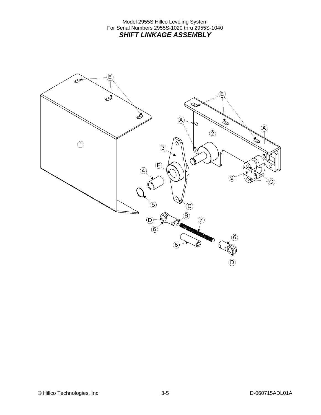Model 2955S Hillco Leveling System For Serial Numbers 2955S-1020 thru 2955S-1040 *SHIFT LINKAGE ASSEMBLY* 

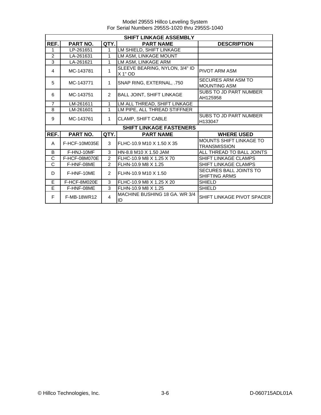|                | <b>SHIFT LINKAGE ASSEMBLY</b> |                |                                           |                                                  |  |  |
|----------------|-------------------------------|----------------|-------------------------------------------|--------------------------------------------------|--|--|
| REF.           | <b>PART NO.</b>               | QTY.           | <b>PART NAME</b>                          | <b>DESCRIPTION</b>                               |  |  |
| 1              | LP-261651                     | 1              | LM SHIELD, SHIFT LINKAGE                  |                                                  |  |  |
| $\overline{2}$ | LA-261631                     | 1              | LM ASM, LINKAGE MOUNT                     |                                                  |  |  |
| 3              | LA-261621                     | 1              | LM ASM, LINKAGE ARM                       |                                                  |  |  |
| 4              | MC-143781                     | 1              | SLEEVE BEARING, NYLON, 3/4" ID<br>X 1" OD | <b>PIVOT ARM ASM</b>                             |  |  |
| 5              | MC-143771                     | 1              | SNAP RING, EXTERNAL, .750                 | <b>SECURES ARM ASM TO</b><br><b>MOUNTING ASM</b> |  |  |
| 6              | MC-143751                     | 2              | <b>BALL JOINT, SHIFT LINKAGE</b>          | SUBS TO JD PART NUMBER<br>AH125958               |  |  |
| $\overline{7}$ | LM-261611                     | 1              | LM ALL THREAD, SHIFT LINKAGE              |                                                  |  |  |
| 8              | LM-261601                     | 1              | LM PIPE, ALL THREAD STIFFNER              |                                                  |  |  |
| 9              | MC-143761                     | $\mathbf{1}$   | <b>CLAMP, SHIFT CABLE</b>                 | <b>SUBS TO JD PART NUMBER</b><br>H133047         |  |  |
|                |                               |                | <b>SHIFT LINKAGE FASTENERS</b>            |                                                  |  |  |
| REF.           | PART NO.                      | QTY.           | <b>PART NAME</b>                          | <b>WHERE USED</b>                                |  |  |
| A              | F-HCF-10M035E                 | 3              | FLHC-10.9 M10 X 1.50 X 35                 | MOUNTS SHIFT LINKAGE TO<br>TRANSMISSION          |  |  |
| B              | F-HNJ-10MF                    | 3              | HN-8.8 M10 X 1.50 JAM                     | ALL THREAD TO BALL JOINTS                        |  |  |
| C              | F-HCF-08M070E                 | $\mathfrak{p}$ | FLHC-10.9 M8 X 1.25 X 70                  | <b>SHIFT LINKAGE CLAMPS</b>                      |  |  |
| C              | F-HNF-08ME                    | $\mathfrak{p}$ | FLHN-10.9 M8 X 1.25                       | <b>SHIFT LINKAGE CLAMPS</b>                      |  |  |
| D              | F-HNF-10ME                    | $\mathcal{P}$  | FLHN-10.9 M10 X 1.50                      | SECURES BALL JOINTS TO<br><b>SHIFTING ARMS</b>   |  |  |
| E              | F-HCF-8M020E                  | 3              | FLHC-10.9 M8 X 1.25 X 20                  | SHIELD                                           |  |  |
| E              | F-HNF-08ME                    | 3              | FLHN-10.9 M8 X 1.25                       | <b>SHIELD</b>                                    |  |  |
| F              | F-MB-18WR12                   | 4              | MACHINE BUSHING 18 GA, WR 3/4<br>ID       | SHIFT LINKAGE PIVOT SPACER                       |  |  |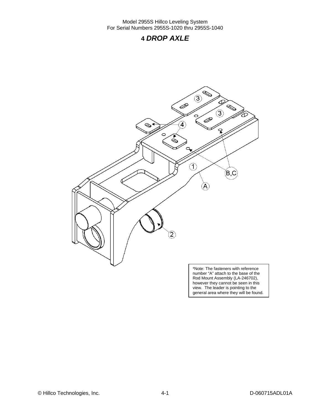# **4** *DROP AXLE*



Rod Mount Assembly (LA-246702), however they cannot be seen in this view. The leader is pointing to the general area where they will be found.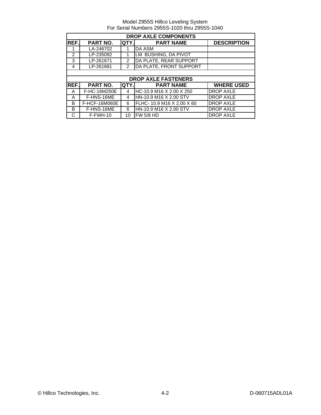|                | <b>DROP AXLE COMPONENTS</b>                                |                |                            |                   |  |  |  |
|----------------|------------------------------------------------------------|----------------|----------------------------|-------------------|--|--|--|
| <b>REF.</b>    | <b>DESCRIPTION</b><br>PART NO.<br>QTY.<br><b>PART NAME</b> |                |                            |                   |  |  |  |
| -1             | LA-246702                                                  | 1              | <b>DA ASM</b>              |                   |  |  |  |
| $\overline{2}$ | LP-235092                                                  |                | LM BUSHING, DA PIVOT       |                   |  |  |  |
| 3              | LP-261671                                                  | 2              | DA PLATE, REAR SUPPORT     |                   |  |  |  |
| 4              | LP-261681                                                  | $\overline{2}$ | DA PLATE, FRONT SUPPORT    |                   |  |  |  |
|                |                                                            |                |                            |                   |  |  |  |
|                |                                                            |                | <b>DROP AXLE FASTENERS</b> |                   |  |  |  |
| REF.           | PART NO.                                                   | QTY.           | <b>PART NAME</b>           | <b>WHERE USED</b> |  |  |  |
| A              | F-HC-16M250E                                               | 4              | HC-10.9 M16 X 2.00 X 250   | <b>DROP AXLE</b>  |  |  |  |
| A              | F-HNS-16ME                                                 | 4              | IHN-10.9 M16 X 2.00 STV    | <b>DROP AXLE</b>  |  |  |  |
| B              | F-HCF-16M060E                                              | 6              | FLHC- 10.9 M16 X 2.00 X 60 | <b>DROP AXLE</b>  |  |  |  |
|                |                                                            |                |                            |                   |  |  |  |
| B              | F-HNS-16ME                                                 | 6              | IHN-10.9 M16 X 2.00 STV    | <b>DROP AXLE</b>  |  |  |  |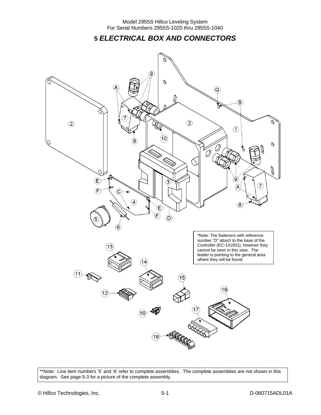**5** *ELECTRICAL BOX AND CONNECTORS* 



\*\*Note: Line item numbers '5' and '6' refer to complete assemblies. The complete assemblies are not shown in this diagram. See page 5-3 for a picture of the complete assembly.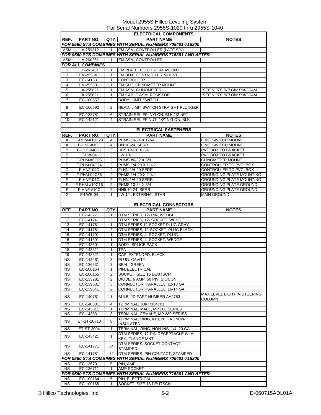| <b>ELECTRICAL COMPONENTS</b> |                         |                       |                                                                |                                 |  |
|------------------------------|-------------------------|-----------------------|----------------------------------------------------------------|---------------------------------|--|
| REF.I                        | PART NO.                | QTY.                  | <b>PART NAME</b>                                               | <b>NOTES</b>                    |  |
|                              |                         |                       | <b>FOR 9560 STS COMBINES WITH SERIAL NUMBERS 705401-715300</b> |                                 |  |
| ASM I                        | LA-259312               | $\mathbf{1}$          | EM ASM, CONTROLLER (LATE S/N)                                  |                                 |  |
|                              |                         |                       | FOR 9560 STS COMBINES WITH SERIAL NUMBERS 715301 AND AFTER     |                                 |  |
| ASM                          | LA-260261               | 1                     | <b>EM ASM, CONTROLLER</b>                                      |                                 |  |
|                              | <b>FOR ALL COMBINES</b> |                       |                                                                |                                 |  |
|                              | LP-261431               | $\mathbf{1}$          | EM PLATE, ELECTRICAL MOUNT                                     |                                 |  |
| 1                            |                         |                       |                                                                |                                 |  |
| 2                            | LM-255341               | 1                     | EM BOX, CONTROLLER MOUNT                                       |                                 |  |
| 3                            | EC-141831               | 1                     | <b>CONTROLLER</b>                                              |                                 |  |
| 4                            | LM-255331               | 1                     | EM SHT, CLINOMETER MOUNT                                       |                                 |  |
| $\overline{5}$               | LA-255821               | $\mathbf{1}$          | EM ASM, CLINOMETER                                             | *SEE NOTE BELOW DIAGRAM         |  |
| 6                            | LA-255621               | 1                     | EM CABLE ASM, RESISTOR                                         | *SEE NOTE BELOW DIAGRAM         |  |
| 7                            | EC-100557               | 2                     | BODY, LIMIT SWITCH                                             |                                 |  |
| 8                            | EC-100692               | $\mathbf{2}^{\prime}$ | HEAD, LIMIT SWITCH STRAIGHT PLUNGER                            |                                 |  |
|                              |                         |                       |                                                                |                                 |  |
| 9                            | EC-138781               | 6                     | STRAIN RELIEF, NYLON, BLK, 1/2 NPT                             |                                 |  |
| 10                           | EC-142121               | 4                     | STRAIN RELIEF NUT, 1/2" NYLON, BLK                             |                                 |  |
|                              |                         |                       |                                                                |                                 |  |
|                              |                         |                       | <b>ELECTRICAL FASTENERS</b>                                    |                                 |  |
| REF.                         | PART NO.                | QTY.                  | <b>PART NAME</b>                                               | <b>NOTES</b>                    |  |
| A                            | F-PHM-#10C28            | 4                     | PHMS 10-24 X 1-3/4                                             | <b>LIMIT SWITCH MOUNT</b>       |  |
| Α                            | F-HNF-#10C              | 4                     | <b>HN 10-24, SERR</b>                                          | <b>LIMIT SWITCH MOUNT</b>       |  |
| В                            | F-HC5-04C12             | 3                     | HC5 1/4-20 X 3/4                                               | PVC BOX TO BRACKET              |  |
| B                            | F-LW-04                 | 3                     | LW 1/4                                                         | PVC BOX TO BRACKET              |  |
| С                            | F-PHM-#6C06             | 2                     | PHMS #6-32 X 3/8                                               | CLINOMETER MOUNT                |  |
| D                            | F-PHM-04C24             | 2                     | PHMS 1/4-20 X 1-1/2                                            | CONTROLLER TO PVC BOX           |  |
| D                            | F-HNF-04C               | 2                     | <b>FLHN 1/4-20 SERR</b>                                        | CONTROLLER TO PVC BOX           |  |
| E                            | F-PHM-04C36             | $\overline{2}$        | PHMS 1/4-20 X 2-1/4                                            | <b>GROUNDING PLATE MOUNTING</b> |  |
| Е                            | F-HNF-04C               | 2                     | <b>FLHN 1/4-20 SERR</b>                                        | <b>GROUNDING PLATE MOUNTING</b> |  |
| F                            | F-PHM-#10C16            | $\overline{2}$        | PHMS 10-24 X 3/4                                               | <b>GROUNDING PLATE GROUND</b>   |  |
| F                            | $F-HNF-#10C$            | 2                     | <b>HN5 10-24, SERR</b>                                         | <b>GROUNDING PLATE GROUND</b>   |  |
| G                            | $\overline{F}$ -LWE-04  | 1                     | LW 1/4, EXTERNAL STAR                                          | <b>MAIN GROUND</b>              |  |
|                              |                         |                       |                                                                |                                 |  |
|                              |                         |                       | <b>ELECTRICAL CONNECTORS</b>                                   |                                 |  |
|                              |                         |                       |                                                                |                                 |  |
| REF.                         | <b>PART NO.</b>         | QTY.                  | <b>PART NAME</b><br>DTM SERIES, 12- PIN, WEDGE                 | <b>NOTES</b>                    |  |
| 11                           | EC-143271               | 1                     | DTM SERIES, 12- SOCKET, WEDGE                                  |                                 |  |
| 12                           | EC-141741               | 3                     |                                                                |                                 |  |
| 13                           | EC-141761               | 1                     | DTM SERIES 12-SOCKET PLUG GRAY                                 |                                 |  |
| 14                           | EC-141751               | 2                     | DTM SERIES, 12-SOCKET, PLUG BLACK                              |                                 |  |
| 15                           | EC-141791               | 1                     | DTM SERIES, 4- SOCKET, PLUG                                    |                                 |  |
| 16                           | EC-141801               | 1                     | DTM SERIES. 4- SOCKET. WEDGE                                   |                                 |  |
| 17                           | EC-143301               | 1                     | <b>BODY, SPLICE PACK</b>                                       |                                 |  |
| 18                           | EC-143311               | $\mathbf{1}$          | TPA                                                            |                                 |  |
| 19                           | EC-143321               | 1                     | CAP, EXTENDED, BLACK                                           |                                 |  |
| <b>NS</b>                    | EC-143281               | 3                     | PLUG, CAVITY                                                   |                                 |  |
| <b>NS</b>                    | EC-136631               | 3                     | SEAL, GREEN                                                    |                                 |  |
| NS                           | EC-100164               | 1                     | PIN, ELECTRICAL                                                |                                 |  |
| <b>NS</b>                    | EC-100165               | $\overline{2}$        | SOCKET, SIZE 16 DEUTSCH                                        |                                 |  |
| <b>NS</b>                    | EC-133281               | 2                     | DIODE, 6 AMP, 50 PIV, SILICON                                  |                                 |  |
| NS                           | EC-139631               | 3                     | CONNECTOR, PARALLEL, 12-10 GA                                  |                                 |  |
| <b>NS</b>                    | EC-139641               | $\overline{2}$        | CONNECTOR, PARALLEL, 16-14 GA                                  |                                 |  |
| <b>NS</b>                    | EC-140781               | $\mathbf{1}$          | BULB, JD PART NUMBER AA2753                                    | MAX LEVEL LIGHT IN STEERING     |  |
|                              |                         |                       |                                                                | COLUMN                          |  |
| <b>NS</b>                    | EC-140801               | $\overline{4}$        | <b>TERMINAL, JD# R104701</b>                                   |                                 |  |
| <b>NS</b>                    | EC-143811               | 1                     | TERMINAL, MALE, MP 280 SERIES                                  |                                 |  |
| <b>NS</b>                    | EC-143331               | 3                     | TERMINAL, FEMALE, MP 280 SERIES                                |                                 |  |
| <b>NS</b>                    | ET-ST-20#10             | 8                     | TERMINAL, RING, #10, 20 GA., NON-                              |                                 |  |
|                              |                         |                       | <b>INSULATED</b>                                               |                                 |  |
| NS.                          | ET-ST-2004              | $\mathbf{1}$          | TERMINAL, RING, NON-INS, 1/4, 20 GA                            |                                 |  |
| <b>NS</b>                    | EC-143421               | $\mathbf{1}$          | DTM SERIES, 12-PIN RECEPTACLE W. A-                            |                                 |  |
|                              |                         |                       | <b>KEY, FLANGE MNT</b>                                         |                                 |  |
|                              |                         |                       | DTM SERIES, SOCKET CONTACT,                                    |                                 |  |
| NS.                          | EC-141771               | 34                    | STAMPED                                                        |                                 |  |
| <b>NS</b>                    | EC-141781               | 12                    | DTM SERIES, PIN CONTACT, STAMPED                               |                                 |  |
|                              |                         |                       | FOR 9560 STS COMBINES WITH SERIAL NUMBERS 705401-715300        |                                 |  |
| NS                           | EC-136701               | 5                     | PIN, AMP                                                       |                                 |  |
| <b>NS</b>                    | EC-136711               | $\mathbf{1}$          | <b>AMP SOCKET</b>                                              |                                 |  |
|                              |                         |                       | FOR 9560 STS COMBINES WITH SERIAL NUMBERS 715301 AND AFTER     |                                 |  |
| <b>NS</b>                    | EC-100164               | 5                     | PIN, ELECTRICAL                                                |                                 |  |
| <b>NS</b>                    | EC-100165               | 1                     | SOCKET, SIZE 16 DEUTSCH                                        |                                 |  |
|                              |                         |                       |                                                                |                                 |  |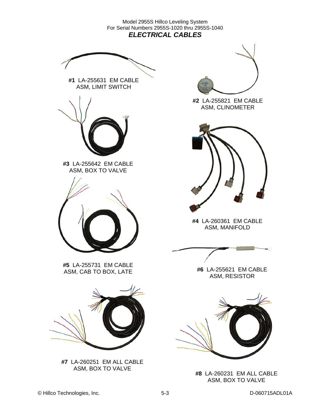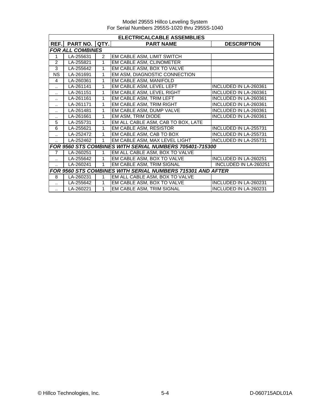|                      | <b>ELECTRICALCABLE ASSEMBLIES</b> |      |                                                            |                              |  |
|----------------------|-----------------------------------|------|------------------------------------------------------------|------------------------------|--|
| REF.                 | PART NO.                          | QTY. | <b>PART NAME</b>                                           | <b>DESCRIPTION</b>           |  |
|                      | <b>FOR ALL COMBINES</b>           |      |                                                            |                              |  |
| 1                    | LA-255631                         | 2    | EM CABLE ASM, LIMIT SWITCH                                 |                              |  |
| $\mathfrak{p}$       | LA-255821                         | 1    | <b>EM CABLE ASM, CLINOMETER</b>                            |                              |  |
| 3                    | LA-255642                         | 1    | EM CABLE ASM, BOX TO VALVE                                 |                              |  |
| <b>NS</b>            | LA-261691                         | 1    | EM ASM, DIAGNOSTIC CONNECTION                              |                              |  |
| 4                    | LA-260361                         | 1    | EM CABLE ASM, MANIFOLD                                     |                              |  |
|                      | LA-261141                         | 1    | EM CABLE ASM, LEVEL LEFT                                   | INCLUDED IN LA-260361        |  |
| $\ddot{\phantom{a}}$ | LA-261151                         | 1    | EM CABLE ASM, LEVEL RIGHT                                  | INCLUDED IN LA-260361        |  |
| $\cdot$ .            | LA-261161                         | 1    | EM CABLE ASM, TRIM LEFT                                    | INCLUDED IN LA-260361        |  |
|                      | LA-261171                         | 1    | EM CABLE ASM, TRIM RIGHT                                   | INCLUDED IN LA-260361        |  |
| $\ddot{\phantom{a}}$ | LA-261481                         | 1    | EM CABLE ASM, DUMP VALVE                                   | INCLUDED IN LA-260361        |  |
|                      | LA-261661                         | 1    | <b>EM ASM, TRIM DIODE</b>                                  | <b>INCLUDED IN LA-260361</b> |  |
| 5                    | LA-255731                         | 1    | EM ALL CABLE ASM, CAB TO BOX, LATE                         |                              |  |
| 6                    | $\overline{LA}$ -255621           | 1    | <b>EM CABLE ASM, RESISTOR</b>                              | INCLUDED IN LA-255731        |  |
|                      | LA-252472                         | 1    | EM CABLE ASM, CAB TO BOX                                   | <b>INCLUDED IN LA-255731</b> |  |
|                      | LA-252462                         | 1    | EM CABLE ASM, MAX LEVEL LIGHT                              | <b>INCLUDED IN LA-255731</b> |  |
|                      |                                   |      | FOR 9560 STS COMBINES WITH SERIAL NUMBERS 705401-715300    |                              |  |
| $\overline{7}$       | LA-260251                         | 1    | EM ALL CABLE ASM, BOX TO VALVE                             |                              |  |
|                      | LA-255642                         | 1    | EM CABLE ASM, BOX TO VALVE                                 | INCLUDED IN LA-260251        |  |
|                      | LA-260241                         | 1    | EM CABLE ASM, TRIM SIGNAL                                  | INCLUDED IN LA-260251        |  |
|                      |                                   |      | FOR 9560 STS COMBINES WITH SERIAL NUMBERS 715301 AND AFTER |                              |  |
| 8                    | LA-260231                         | 1    | EM ALL CABLE ASM, BOX TO VALVE                             |                              |  |
| $\ddot{\phantom{a}}$ | LA-255642                         | 1    | EM CABLE ASM, BOX TO VALVE                                 | INCLUDED IN LA-260231        |  |
| ٠.                   | LA-260221                         | 1    | EM CABLE ASM, TRIM SIGNAL                                  | INCLUDED IN LA-260231        |  |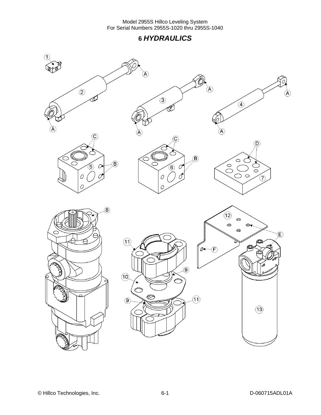## **6** *HYDRAULICS*

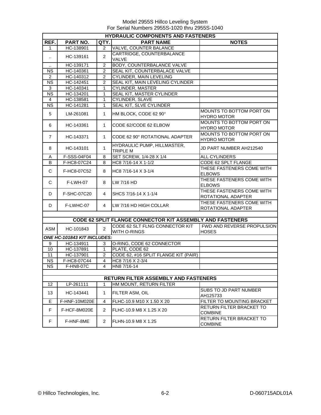| <b>HYDRAULIC COMPONENTS AND FASTENERS</b> |                             |                |                                                                  |                                                 |
|-------------------------------------------|-----------------------------|----------------|------------------------------------------------------------------|-------------------------------------------------|
| REF.                                      | PART NO.                    | QTY.           | <b>PART NAME</b>                                                 | <b>NOTES</b>                                    |
| 1                                         | HC-138901                   | 2              | VALVE, COUNTER BALANCE                                           |                                                 |
|                                           | HC-139161                   | $\overline{2}$ | CARTRIDGE, COUNTERBALANCE                                        |                                                 |
| $\cdot$ .                                 |                             |                | <b>VALVE</b>                                                     |                                                 |
|                                           | HC-139171                   | $\overline{2}$ | <b>BODY, COUNTERBALANCE VALVE</b>                                |                                                 |
| <b>NS</b>                                 | HC-140361                   | 2              | SEAL KIT, COUNTERBALACE VALVE                                    |                                                 |
| 2                                         | HC-140312                   | $\overline{c}$ | CYLINDER, MAIN LEVELING                                          |                                                 |
| N <sub>S</sub>                            | HC-142451                   | $\overline{2}$ | SEAL KIT, MAIN LEVELING CYLINDER                                 |                                                 |
| 3                                         | HC-140341                   | 1              | <b>CYLINDER, MASTER</b>                                          |                                                 |
| <b>NS</b>                                 | HC-134201                   | $\mathbf{1}$   | <b>SEAL KIT, MASTER CYLINDER</b>                                 |                                                 |
| 4                                         | HC-138581                   | 1              | CYLINDER, SLAVE                                                  |                                                 |
| $\overline{\text{NS}}$                    | HC-141281                   | 1              | SEAL KIT, SLVE CYLINDER                                          |                                                 |
| 5                                         | LM-261081                   | $\mathbf{1}$   | HM BLOCK, CODE 62 90°                                            | MOUNTS TO BOTTOM PORT ON<br><b>HYDRO MOTOR</b>  |
| 6                                         | HC-143361                   | 1              | CODE 62/CODE 62 ELBOW                                            | MOUNTS TO BOTTOM PORT ON<br><b>HYDRO MOTOR</b>  |
| 7                                         | HC-143371                   | $\mathbf{1}$   | CODE 62 90° ROTATIONAL ADAPTER                                   | MOUNTS TO BOTTOM PORT ON<br><b>HYDRO MOTOR</b>  |
| 8                                         | HC-143101                   | $\mathbf 1$    | HYDRAULIC PUMP, HILLMASTER,<br><b>TRIPLE M</b>                   | JD PART NUMBER AH212540                         |
| Α                                         | F-SSS-04F04                 | 8              | SET SCREW, 1/4-28 X 1/4                                          | <b>ALL CYLINDERS</b>                            |
| в                                         | F-HC8-07C24                 | 8              | HC8 7/16-14 X 1-1/2                                              | CODE 62 SPLT FLANGE                             |
| C                                         | F-HC8-07C52                 | 8              | HC8 7/16-14 X 3-1/4                                              | THESE FASTENERS COME WITH<br><b>ELBOWS</b>      |
| C                                         | F-LWH-07                    | 8              | LW 7/16 HD                                                       | THESE FASTENERS COME WITH<br><b>ELBOWS</b>      |
| D                                         | F-SHC-07C20                 | 4              | SHCS 7/16-14 X 1-1/4                                             | THESE FASTENERS COME WITH<br>ROTATIONAL ADAPTER |
| D                                         | F-LWHC-07                   | 4              | LW 7/16 HD HIGH COLLAR                                           | THESE FASTENERS COME WITH<br>ROTATIONAL ADAPTER |
|                                           |                             |                |                                                                  |                                                 |
|                                           |                             |                | <b>CODE 62 SPLIT FLANGE CONNECTOR KIT ASSEMBLY AND FASTENERS</b> |                                                 |
| <b>ASM</b>                                | HC-101843                   | $\overline{2}$ | CODE 62 SLT FLNG CONNECTOR KIT<br>WITH O-RINGS                   | FWD AND REVERSE PROPULSION<br><b>HOSES</b>      |
|                                           | ONE HC-101843 KIT INCLUDES: |                |                                                                  |                                                 |
| 9                                         | HC-134911                   | 3              | O-RING, CODE 62 CONNECTOR                                        |                                                 |
| 10                                        | HC-137891                   | $\mathbf{1}$   | PLATE, CODE 62                                                   |                                                 |
| 11                                        | HC-137901                   | $\overline{2}$ | CODE 62, #16 SPLIT FLANGE KIT (PAIR)                             |                                                 |
| $\overline{\text{NS}}$                    | F-HC8-07C44                 | $\overline{4}$ | HC8 7/16 X 2-3/4                                                 |                                                 |
| <b>NS</b>                                 | <b>F-HN8-07C</b>            | $\overline{4}$ | HN8 7/16-14                                                      |                                                 |
|                                           |                             |                |                                                                  |                                                 |
|                                           |                             |                | <b>RETURN FILTER ASSEMBLY AND FASTENERS</b>                      |                                                 |
| $12 \overline{ }$                         | LP-261111                   | 1              | HM MOUNT, RETURN FILTER                                          |                                                 |
| 13                                        | HC-143441                   | $\mathbf{1}$   | FILTER ASM. OIL                                                  | <b>SUBS TO JD PART NUMBER</b><br>AH125733       |
| E                                         | F-HNF-10M020E               | 4              | FLHC-10.9 M10 X 1.50 X 20                                        | FILTER TO MOUNTING BRACKET                      |
| F                                         | F-HCF-8M020E                | $\overline{2}$ | FLHC-10.9 M8 X 1.25 X 20                                         | RETURN FILTER BRACKET TO<br><b>COMBINE</b>      |
| F.                                        | F-HNF-8ME                   | $\overline{2}$ | FLHN-10.9 M8 X 1.25                                              | RETURN FILTER BRACKET TO<br><b>COMBINE</b>      |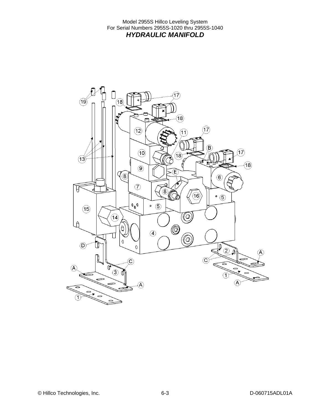Model 2955S Hillco Leveling System For Serial Numbers 2955S-1020 thru 2955S-1040 *HYDRAULIC MANIFOLD* 

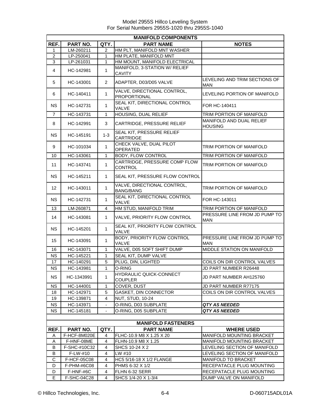|                | <b>MANIFOLD COMPONENTS</b> |                          |                                                  |                                                     |  |
|----------------|----------------------------|--------------------------|--------------------------------------------------|-----------------------------------------------------|--|
| REF.           | PART NO.                   | QTY.                     | <b>PART NAME</b>                                 | <b>NOTES</b>                                        |  |
| 1              | LM-260211                  | 2                        | HM PLT, MANIFOLD MNT WASHER                      |                                                     |  |
| $\overline{2}$ | LP-250041                  | 1                        | HM PLATE, MANIFOLD MNT                           |                                                     |  |
| 3              | LP-261031                  | $\mathbf{1}$             | HM MOUNT, MANIFOLD ELECTRICAL                    |                                                     |  |
| 4              | HC-142981                  | $\mathbf{1}$             | MANIFOLD, 3-STATION W/ RELIEF<br><b>CAVITY</b>   |                                                     |  |
| 5              | HC-143001                  | $\overline{2}$           | ADAPTER, D03/D05 VALVE                           | LEVELING AND TRIM SECTIONS OF<br><b>MAN</b>         |  |
| 6              | HC-140411                  | $\mathbf{1}$             | VALVE, DIRECTIONAL CONTROL,<br>PROPORTIONAL      | LEVELING PORTION OF MANIFOLD                        |  |
| ΝS             | HC-142731                  | $\mathbf{1}$             | SEAL KIT, DIRECTIONAL CONTROL<br>VALVE           | FOR HC-140411                                       |  |
| $\overline{7}$ | HC-143731                  | $\mathbf{1}$             | HOUSING, DUAL RELIEF                             | TRIM PORTION OF MANIFOLD                            |  |
| 8              | HC-142991                  | 3                        | CARTRIDGE, PRESSURE RELIEF                       | MANIFOLD AND DUAL RELIEF<br><b>HOUSING</b>          |  |
| <b>NS</b>      | HC-145191                  | $1 - 3$                  | SEAL KIT, PRESSURE RELIEF<br><b>CARTRIDGE</b>    |                                                     |  |
| 9              | HC-101034                  | $\mathbf{1}$             | CHECK VALVE, DUAL PILOT<br><b>OPERATED</b>       | TRIM PORTION OF MANIFOLD                            |  |
| 10             | HC-143061                  | $\mathbf{1}$             | <b>BODY, FLOW CONTROL</b>                        | TRIM PORTION OF MANIFOLD                            |  |
| 11             | HC-143741                  | $\mathbf{1}$             | CARTRIDGE, PRESSURE COMP FLOW<br><b>CONTROL</b>  | TRIM PORTION OF MANIFOLD                            |  |
| <b>NS</b>      | HC-145211                  | 1                        | SEAL KIT, PRESSURE FLOW CONTROL                  |                                                     |  |
| 12             | HC-143011                  | $\mathbf{1}$             | VALVE, DIRECTIONAL CONTROL,<br><b>BANG/BANG</b>  | TRIM PORTION OF MANIFOLD                            |  |
| NS.            | HC-142731                  | $\mathbf 1$              | SEAL KIT, DIRECTIONAL CONTROL<br><b>VALVE</b>    | FOR HC-143011                                       |  |
| 13             | LM-260871                  | 4                        | HM STUD, MANIFOLD TRIM                           | TRIM PORTION OF MANIFOLD                            |  |
| 14             | HC-143081                  | $\mathbf{1}$             | VALVE, PRIORITY FLOW CONTROL                     | PRESSURE LINE FROM JD PUMP TO<br><b>MAN</b>         |  |
| <b>NS</b>      | HC-145201                  | $\mathbf{1}$             | SEAL KIT, PRIORITY FLOW CONTROL<br>VALVE         |                                                     |  |
| 15             | HC-143091                  | $\mathbf{1}$             | <b>BODY, PRIORITY FLOW CONTROL</b><br>VALVE      | PRESSURE LINE FROM JD PUMP TO<br><b>MAN</b>         |  |
| 16             | HC-143071                  | $\mathbf{1}$             | VALVE, D05 SOFT SHIFT DUMP                       | MIDDLE STATION ON MANIFOLD                          |  |
| <b>NS</b>      | HC-145221                  | $\mathbf{1}$             | SEAL KIT, DUMP VALVE                             |                                                     |  |
| 17             | HC-140291                  | 5                        | PLUG, DIN, LIGHTED                               | COILS ON DIR CONTROL VALVES                         |  |
| <b>NS</b>      | HC-143981                  | 1                        | O-RING                                           | JD PART NUMBER R26448                               |  |
| <b>NS</b>      | HC-1343991                 | 1                        | <b>HYDRAULIC QUICK-CONNECT</b><br><b>COUPLER</b> | JD PART NUMBER AH125760                             |  |
| <b>NS</b>      | HC-144001                  | 1                        | COVER, DUST                                      | JD PART NUMBER R77175                               |  |
| 18             | HC-142971                  | 5                        | <b>GASKET, DIN CONNECTOR</b>                     | COILS ON DIR CONTROL VALVES                         |  |
| 19             | HC-139871                  | 4                        | <b>NUT, STUD, 10-24</b>                          |                                                     |  |
| <b>NS</b>      | HC-143971                  | $\overline{\phantom{a}}$ | O-RING, D03 SUBPLATE                             | <b>QTY AS NEEDED</b>                                |  |
| <b>NS</b>      | HC-145181                  |                          | O-RING, D05 SUBPLATE                             | QTY AS NEEDED                                       |  |
|                |                            |                          |                                                  |                                                     |  |
|                |                            |                          | <b>MANIFOLD FASTENERS</b>                        |                                                     |  |
| REF.           | PART NO.                   | QTY.                     | <b>PART NAME</b>                                 | <b>WHERE USED</b>                                   |  |
| Α              | F-HCF-8M020E               | 4                        | FLHC-10.9 M8 X 1.25 X 20                         | MANIFOLD MOUNTING BRACKET                           |  |
| A              | F-HNF-08ME                 | 4                        | FLHN-10.9 M8 X 1.25                              | MANIFOLD MOUNTING BRACKET                           |  |
| B              | F-SHC-#10C32               | 4                        | SHCS 10-24 X 2                                   | LEVELING SECTION OF MANIFOLD                        |  |
| В              | F-LW-#10                   | 4                        | LW #10                                           | LEVELING SECTION OF MANIFOLD                        |  |
| C              | F-HCF-05C08                | 4                        | HC5 5/16-18 X 1/2 FLANGE                         | MANIFOLD TO BRACKET                                 |  |
| D              | F-PHM-#6C08                | 4                        | PHMS 6-32 X 1/2                                  | RECEPATACLE PLUG MOUNTING                           |  |
| D<br>E         | F-HNF-#6C<br>F-SHC-04C28   | 4<br>4                   | FLHN 6-32 SERR<br>SHCS 1/4-20 X 1-3/4            | RECEPATACLE PLUG MOUNTING<br>DUMP VALVE ON MANIFOLD |  |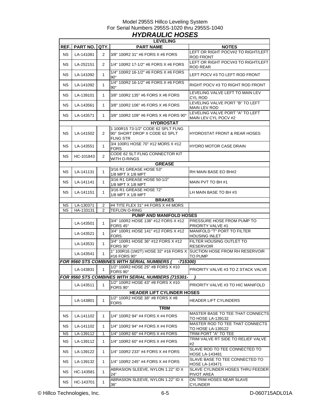### Model 2955S Hillco Leveling System For Serial Numbers 2955S-1020 thru 2955S-1040 *HYDRAULIC HOSES*

|           | <b>LEVELING</b> |                |                                                                                         |                                                         |  |  |
|-----------|-----------------|----------------|-----------------------------------------------------------------------------------------|---------------------------------------------------------|--|--|
| REF.      | PART NO.        | QTY.           | <b>PART NAME</b>                                                                        | <b>NOTES</b>                                            |  |  |
| <b>NS</b> | LA-141081       | $\overline{2}$ | 3/8" 100R2 31" #6 FORS X #6 FORS                                                        | LEFT OR RIGHT POCV#2 TO RIGHT/LEFT<br>ROD FRONT         |  |  |
| NS.       | LA-252151       | $\overline{2}$ | 1/4" 100R2 17-1/2" #6 FORS X #6 FORS                                                    | LEFT OR RIGHT POCV#3 TO RIGHT/LEFT<br><b>ROD REAR</b>   |  |  |
| NS.       | LA-141092       | $\mathbf{1}$   | 1/4" 100R2 16-1/2" #6 FORS X #6 FORS<br>$90^\circ$                                      | LEFT POCV #3 TO LEFT ROD FRONT                          |  |  |
| NS.       | LA-141092       | $\mathbf 1$    | 1/4" 100R2 16-1/2" #6 FORS X #6 FORS<br>$90^{\circ}$                                    | RIGHT POCV #3 TO RIGHT ROD FRONT                        |  |  |
| NS.       | LA-139101       | 1              | 3/8" 100R2 135" #6 FORS X #6 FORS                                                       | LEVELING VALVE LEFT TO MAIN LEV<br>CYL ROD              |  |  |
| NS.       | LA-143561       | $\mathbf{1}$   | 3/8" 100R2 106" #6 FORS X #6 FORS                                                       | LEVELING VALVE PORT "B" TO LEFT<br><b>MAIN LEV ROD</b>  |  |  |
| <b>NS</b> | LA-143571       | $\mathbf{1}$   | 3/8" 100R2 109" #6 FORS X #6 FORS 90°                                                   | LEVELING VALVE PORT "A" TO LEFT<br>MAIN LEV CYL POCV #2 |  |  |
|           |                 |                | <b>HYDROSTAT</b>                                                                        |                                                         |  |  |
| <b>NS</b> | LA-141502       | $\overline{2}$ | 1 100R15 73-1/2" CODE 62 SPLT FLNG<br>190° SHORT DROP X CODE 62 SPLT<br><b>FLNG STR</b> | <b>HYDROSTAT FRONT &amp; REAR HOSES</b>                 |  |  |
| NS.       | LA-143551       | $\mathbf{1}$   | 3/4 100R1 HOSE 70" #12 MORS X #12<br><b>FORS</b>                                        | <b>HYDRO MOTOR CASE DRAIN</b>                           |  |  |
| <b>NS</b> | HC-101843       | 2              | CODE 62 SLT FLNG CONNECTOR KIT<br>WITH O-RINGS                                          |                                                         |  |  |
|           |                 |                | <b>GREASE</b>                                                                           |                                                         |  |  |
| <b>NS</b> | LA-141131       | $\mathbf{1}$   | 3/16 R1 GREASE HOSE 53"<br>1/8 MPT X 1/8 MPT                                            | RH MAIN BASE EO BH#2                                    |  |  |
| NS.       | LA-141141       | $\mathbf 1$    | 3/16 R1 GREASE HOSE 50-1/2"<br>1/8 MPT X 1/8 MPT                                        | MAIN PVT TO BH #1                                       |  |  |
| NS.       | LA-141151       | $\mathbf{1}$   | 3/16 R1 GREASE HOSE 72"<br>1/8 MPT X 1/8 MPT                                            | LH MAIN BASE TO BH #3                                   |  |  |
|           |                 |                | <b>BRAKES</b>                                                                           |                                                         |  |  |
| NS.       | LA-130371       | 2              | #4 TITE FLEX 31" #4 FORS X #4 MORS                                                      |                                                         |  |  |
| <b>NS</b> | HA-133131       | 2              | <b>TEFLON O-RING</b>                                                                    |                                                         |  |  |
|           |                 |                | PUMP AND MANIFOLD HOSES<br>3/4" 100R2 HOSE 138" #12 FORS X #12                          | <b>PRESSURE HOSE FROM PUMP TO</b>                       |  |  |
|           | LA-143501       | $\mathbf 1$    | FORS 45°<br>3/4" 100R1 HOSE 141" #12 FORS X #12                                         | PRIORITY VALVE #1<br><b>MANIFOLD "T" PORT TO FILTER</b> |  |  |
|           | LA-143521       | $\mathbf 1$    | <b>FORS</b><br>3/4" 100R1 HOSE 36" #12 FORS X #12                                       | <b>HOUSING INLET</b><br>FILTER HOUSING OUTLET TO        |  |  |
|           | LA-143531       | $\mathbf{1}$   | FORS 90°<br>1" 100R16 (1M2T) HOSE 32" #16 FORS X SUCTION HOSE FROM RH RESERVOIR         | <b>RESERVOIR</b>                                        |  |  |
|           | LA-143541       | $\mathbf{1}$   | #16 FORS 90°                                                                            | <b>TO PUMP</b>                                          |  |  |
|           |                 |                | <b>FOR 9560 STS COMBINES WITH SERIAL NUMBERS (</b><br>-715300)                          |                                                         |  |  |
|           | LA-143831       | $\mathbf{1}$   | 1/2" 100R2 HOSE 25" #8 FORS X #10<br>FORS 90°                                           | <b>PRIORITY VALVE #3 TO Z STACK VALVE</b>               |  |  |
|           |                 |                | FOR 9560 STS COMBINES WITH SERIAL NUMBERS (715301-<br>1/2" 100R2 HOSE 43" #8 FORS X #10 |                                                         |  |  |
|           | LA-143511       | $\mathbf 1$    | FORS 90°                                                                                | PRIORITY VALVE #3 TO HIC MANIFOLD                       |  |  |
|           |                 |                | <b>HEADER LIFT CYLINDER HOSES</b>                                                       |                                                         |  |  |
|           | LA-143801       | $\mathbf{1}$   | 1/2" 100R2 HOSE 38" #8 FORS X #8<br><b>FORS</b>                                         | <b>HEADER LIFT CYLINDERS</b>                            |  |  |
|           |                 |                | <b>TRIM</b>                                                                             |                                                         |  |  |
| <b>NS</b> | LA-141102       | $\mathbf{1}$   | 1/4" 100R2 94" #4 FORS X #4 FORS                                                        | MASTER BASE TO TEE THAT CONNECTS<br>TO HOSE LA-139132   |  |  |
| NS.       | LA-141102       | $\mathbf{1}$   | 1/4" 100R2 94" #4 FORS X #4 FORS                                                        | MASTER ROD TO TEE THAT CONNECTS<br>TO HOSE LA-139122    |  |  |
| NS.       | LA-139112       | 1              | 1/4" 100R2 60" #4 FORS X #4 FORS                                                        | TRIM PORT "A" TO TEE                                    |  |  |
| <b>NS</b> | LA-139112       | $\mathbf{1}$   | 1/4" 100R2 60" #4 FORS X #4 FORS                                                        | TRIM VALVE RT SIDE TO RELIEF VALVE<br>#2                |  |  |
| NS.       | LA-139122       | 1              | 1/4" 100R2 233" #4 FORS X #4 FORS                                                       | SLAVE ROD TO TEE CONNECTED TO<br><b>HOSE LA-143481</b>  |  |  |
| NS.       | LA-139132       | $\mathbf{1}$   | 1/4" 100R2 245" #4 FORS X #4 FORS                                                       | SLAVE BASE TO TEE CONNECTED TO<br><b>HOSE LA-143471</b> |  |  |
| NS.       | HC-143581       | $\mathbf 1$    | ABRASION SLEEVE, NYLON 1.22" ID X<br>24"                                                | SLAVE CYLINDER HOSES THRU FEEDER<br><b>PIVOT AREA</b>   |  |  |
| <b>NS</b> | HC-143701       | $\mathbf{1}$   | ABRASION SLEEVE, NYLON 1.22" ID X<br>36"                                                | ON TRIM HOSES NEAR SLAVE<br><b>CYLINDER</b>             |  |  |

© Hillco Technologies, Inc. 6-5 6-5 D-060715ADL01A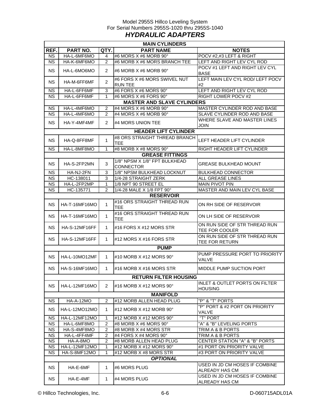### Model 2955S Hillco Leveling System For Serial Numbers 2955S-1020 thru 2955S-1040 *HYDRAULIC ADAPTERS*

| <b>MAIN CYLINDERS</b>                                                                               |                      |                            |                                                   |                                                  |  |  |  |  |  |
|-----------------------------------------------------------------------------------------------------|----------------------|----------------------------|---------------------------------------------------|--------------------------------------------------|--|--|--|--|--|
| REF.                                                                                                | PART NO.             | QTY.                       | <b>PART NAME</b>                                  | <b>NOTES</b>                                     |  |  |  |  |  |
| <b>NS</b>                                                                                           | HA-L-6MF6MO          | 4                          | #6 MORS X #6 MORB 90°                             | POCV #2,#3 LEFT & RIGHT                          |  |  |  |  |  |
| <b>NS</b>                                                                                           | HA-K-6MF6MO          | $\overline{2}$             | #6 MORB X #6 MORS BRANCH TEE                      | LEFT AND RIGHT LEV CYL ROD                       |  |  |  |  |  |
| <b>NS</b>                                                                                           | HA-L-6MO6MO          | 2                          | #6 MORB $X$ #6 MORB 90 $^{\circ}$                 | POCV #1 LEFT AND RIGHT LEV CYL<br><b>BASE</b>    |  |  |  |  |  |
| NS.                                                                                                 | HA-M-6FF6MF          | 2                          | #6 FORS X #6 MORS SWIVEL NUT<br><b>RUN TEE</b>    | LEFT MAIN LEV CYL ROD/ LEFT POCV<br>#2           |  |  |  |  |  |
| <b>NS</b>                                                                                           | HA-L-6FF6MF          | 3                          | #6 FORS X #6 MORS 90°                             | LEFT AND RIGHT LEV CYL ROD                       |  |  |  |  |  |
| <b>NS</b>                                                                                           | HA-L-6FF6MF          | <b>RIGHT LOWER POCV #2</b> |                                                   |                                                  |  |  |  |  |  |
| #6 MORS X #6 FORS 90°<br>$\mathbf{1}$<br><b>MASTER AND SLAVE CYLINDERS</b>                          |                      |                            |                                                   |                                                  |  |  |  |  |  |
| <b>NS</b><br>HA-L-4MF6MO<br>$\overline{c}$<br>#4 MORS X #6 MORB 90°<br>MASTER CYLINDER ROD AND BASE |                      |                            |                                                   |                                                  |  |  |  |  |  |
| <b>NS</b>                                                                                           | HA-L-4MF6MO          | 2                          | #4 MORS X #6 MORB 90°                             | SLAVE CYLINDER ROD AND BASE                      |  |  |  |  |  |
| <b>NS</b>                                                                                           | HA-Y-4MF4MF          | 2                          | #4 MORS UNION TEE                                 | WHERE SLAVE AND MASTER LINES<br><b>JOIN</b>      |  |  |  |  |  |
|                                                                                                     |                      |                            | <b>HEADER LIFT CYLINDER</b>                       |                                                  |  |  |  |  |  |
| <b>NS</b>                                                                                           | HA-Q-8FF8MF          | 1                          | #8 ORS STRAIGHT THREAD BRANCH<br><b>TEE</b>       | LEFT HEADER LIFT CYLINDER                        |  |  |  |  |  |
| <b>NS</b>                                                                                           | HA-L-8MF8MO          | $\mathbf{1}$               | #8 MORB X #8 MORS 90°                             | RIGHT HEADER LIFT CYLINDER                       |  |  |  |  |  |
|                                                                                                     |                      |                            | <b>GREASE FITTINGS</b>                            |                                                  |  |  |  |  |  |
| <b>NS</b>                                                                                           | HA-S-2FP2MN          | 3                          | 1/8" NPSM X 1/8" FPT BULKHEAD<br><b>CONNECTOR</b> | GREASE BULKHEAD MOUNT                            |  |  |  |  |  |
| <b>NS</b>                                                                                           | HA-NJ-2FN            | 3                          | 1/8" NPSM BULKHEAD LOCKNUT                        | <b>BULKHEAD CONNECTOR</b>                        |  |  |  |  |  |
| <b>NS</b>                                                                                           | HC-138011            | 3                          | 1/4-28 STRAIGHT ZERK                              | ALL GREASE LINES                                 |  |  |  |  |  |
| <b>NS</b>                                                                                           | HA-L-2FP2MP          | 1                          | 1/8 NPT 90 STREET EL                              | <b>MAIN PIVOT PIN</b>                            |  |  |  |  |  |
| <b>NS</b>                                                                                           | HC-135771            | $\overline{2}$             | 1/4-28 MALE X 1/8 FPT 90°                         | MASTER AND MAIN LEV CYL BASE                     |  |  |  |  |  |
|                                                                                                     |                      |                            | <b>RESERVOIR</b>                                  |                                                  |  |  |  |  |  |
| <b>NS</b>                                                                                           | <b>HA-T-16MF16MO</b> | $\mathbf 1$                | #16 ORS STRAIGHT THREAD RUN<br><b>TEE</b>         | ON RH SIDE OF RESERVOIR                          |  |  |  |  |  |
| <b>NS</b>                                                                                           | <b>HA-T-16MF16MO</b> | $\mathbf{1}$               | #16 ORS STRAIGHT THREAD RUN<br><b>TEE</b>         | ON LH SIDE OF RESERVOIR                          |  |  |  |  |  |
| <b>NS</b>                                                                                           | HA-S-12MF16FF        | 1                          | $\#$ 16 FORS X $\#$ 12 MORS STR                   | ON RUN SIDE OF STR THREAD RUN<br>TEE FOR COOLER  |  |  |  |  |  |
| <b>NS</b>                                                                                           | HA-S-12MF16FF        | $\mathbf{1}$               | $\#$ 12 MORS X $\#$ 16 FORS STR                   | ON RUN SIDE OF STR THREAD RUN<br>TEE FOR RETURN  |  |  |  |  |  |
|                                                                                                     |                      |                            | <b>PUMP</b>                                       |                                                  |  |  |  |  |  |
| <b>NS</b>                                                                                           | HA-L-10MO12MF        | $\mathbf 1$                | #10 MORB X #12 MORS 90°                           | PUMP PRESSURE PORT TO PRIORITY<br><b>VALVE</b>   |  |  |  |  |  |
| NS.                                                                                                 | HA-S-16MF16MO        | $\mathbf 1$                | $\#$ 16 MORB X $\#$ 16 MORS STR                   | MIDDLE PUMP SUCTION PORT                         |  |  |  |  |  |
|                                                                                                     |                      |                            | <b>RETURN FILTER HOUSING</b>                      |                                                  |  |  |  |  |  |
| <b>NS</b>                                                                                           | HA-L-12MF16MO        | $\overline{2}$             | #16 MORB X #12 MORS 90°                           | INLET & OUTLET PORTS ON FILTER<br><b>HOUSING</b> |  |  |  |  |  |
|                                                                                                     |                      |                            | <b>MANIFOLD</b>                                   |                                                  |  |  |  |  |  |
| <b>NS</b>                                                                                           | <b>HA-A-12MO</b>     | 2                          | #12 MORB ALLEN HEAD PLUG                          | "P" & "T" PORTS                                  |  |  |  |  |  |
| <b>NS</b>                                                                                           | HA-L-12MO12MO        | $\mathbf 1$                | #12 MORB $X$ #12 MORB 90 $^{\circ}$               | "P" PORT & #2 PORT ON PRIORITY<br>VALVE          |  |  |  |  |  |
| <b>NS</b>                                                                                           | HA-L-12MF12MO        | 1                          | #12 MORB X #12 MORS 90°                           | "T" PORT                                         |  |  |  |  |  |
| <b>NS</b>                                                                                           | HA-L-6MF8MO          | 2                          | #8 MORB X #6 MORS 90°                             | "A" & "B" LEVELING PORTS                         |  |  |  |  |  |
| <b>NS</b>                                                                                           | HA-S-4MF8MO          | 2                          | #8 MORB X #4 MORS STR                             | TRIM A & B PORTS                                 |  |  |  |  |  |
| <b>NS</b>                                                                                           | HA-L-4FF4MF          | $\overline{2}$             | #4 FORS X #4 MORS 90°                             | TRIM A & B PORTS                                 |  |  |  |  |  |
| <b>NS</b>                                                                                           | HA-A-8MO             | $\overline{2}$             | #8 MORB ALLEN HEAD PLUG                           | CENTER STATION "A" & "B" PORTS                   |  |  |  |  |  |
| <b>NS</b>                                                                                           | HA-L-12MF12MO        | 1                          | #12 MORB X #12 MORS 90°                           | #1 PORT ON PRIORITY VALVE                        |  |  |  |  |  |
| <b>NS</b>                                                                                           | HA-S-8MF12MO         | 1                          | #12 MORB X #8 MORS STR                            | #3 PORT ON PRIORITY VALVE                        |  |  |  |  |  |
|                                                                                                     |                      |                            | <b>OPTIONAL</b>                                   |                                                  |  |  |  |  |  |
| <b>NS</b>                                                                                           | HA-E-6MF             | $\mathbf{1}$               | #6 MORS PLUG                                      | USED IN JD CM HOSES IF COMBINE<br>ALREADY HAS CM |  |  |  |  |  |
| <b>NS</b>                                                                                           | HA-E-4MF             | $\mathbf{1}$               | #4 MORS PLUG                                      | USED IN JD CM HOSES IF COMBINE<br>ALREADY HAS CM |  |  |  |  |  |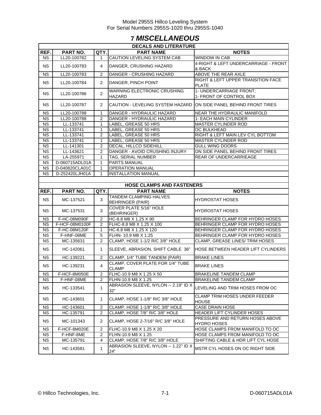# **7** *MISCELLANEOUS*

|                        | <b>DECALS AND LITERATURE</b> |                |                                                                   |                                                                       |  |  |  |  |  |
|------------------------|------------------------------|----------------|-------------------------------------------------------------------|-----------------------------------------------------------------------|--|--|--|--|--|
| REF.                   | <b>PART NO.</b>              | QTY.           | <b>PART NAME</b>                                                  | <b>NOTES</b>                                                          |  |  |  |  |  |
| NS                     | LL20-100782                  | 1              | CAUTION LEVELING SYSTEM CAB                                       | <b>WINDOW IN CAB</b>                                                  |  |  |  |  |  |
| <b>NS</b>              | LL20-100783                  | 4              | DANGER, CRUSHING HAZARD                                           | 4-RIGHT & LEFT UNDERCARRIAGE - FRONT<br>& BACK                        |  |  |  |  |  |
| <b>NS</b>              | LL20-100783                  | $\overline{2}$ | DANGER - CRUSHING HAZARD                                          | ABOVE THE REAR AXLE                                                   |  |  |  |  |  |
| <b>NS</b>              | LL20-100784                  | $\overline{2}$ | DANGER, PINCH POINT                                               | <b>RIGHT &amp; LEFT UPPER TRANSITION FACE</b><br><b>PLATE</b>         |  |  |  |  |  |
| <b>NS</b>              | LL20-100786                  | $\overline{2}$ | WARNING ELECTRONIC CRUSHING<br>HAZARD                             | 1- UNDERCARRIAGE FRONT;<br>1- FRONT OF CONTROL BOX                    |  |  |  |  |  |
| <b>NS</b>              | LL20-100787                  | $\overline{2}$ | CAUTION - LEVELING SYSTEM HAZARD ON SIDE PANEL BEHIND FRONT TIRES |                                                                       |  |  |  |  |  |
| <b>NS</b>              | LL20-100788                  | $\mathbf{1}$   | DANGER - HYDRAULIC HAZARD                                         | <b>NEAR THE HYDRAULIC MANIFOLD</b>                                    |  |  |  |  |  |
| <b>NS</b>              | LL20-100788                  | 2              | DANGER - HYDRAULIC HAZARD                                         | 1- EACH MAIN CYLINDER                                                 |  |  |  |  |  |
| $\overline{\text{NS}}$ | LL-133741                    | $\mathbf{1}$   | LABEL, GREASE 50 HRS                                              | <b>MASTER CYLINDER ROD</b>                                            |  |  |  |  |  |
| <b>NS</b>              | LL-133741                    | $\mathbf{1}$   | LABEL, GREASE 50 HRS                                              | OC BULKHEAD                                                           |  |  |  |  |  |
| <b>NS</b>              | LL-133741                    | 2              | LABEL, GREASE 50 HRS                                              | RIGHT & LEFT MAIN LEV CYL BOTTOM                                      |  |  |  |  |  |
| <b>NS</b>              | LL-133741                    | $\mathbf{1}$   | LABEL, GREASE 50 HRS                                              | <b>MASTER CYLINDER ROD</b>                                            |  |  |  |  |  |
| <b>NS</b>              | LL-141301                    | $\overline{2}$ | DECAL, HILLCO SIDEHILL                                            | <b>GULL WING DOORS</b>                                                |  |  |  |  |  |
| <b>NS</b>              | LL-143621                    | $\overline{2}$ | DANGER - AVOID CRUSHING INJURY                                    | ON SIDE PANEL BEHIND FRONT TIRES                                      |  |  |  |  |  |
| <b>NS</b>              | LA-255971                    | $\mathbf{1}$   | TAG, SERIAL NUMBER                                                | REAR OF UNDERCARRIEAGE                                                |  |  |  |  |  |
| <b>NS</b>              | D-060715ADL01A               | $\mathbf{1}$   | PARTS MANUAL                                                      |                                                                       |  |  |  |  |  |
| <b>NS</b>              | D-040820CLA01C               | 1              | <b>OPERATION MANUAL</b>                                           |                                                                       |  |  |  |  |  |
| <b>NS</b>              | D-252420LJH01A               | 1              | <b>INSTALLATION MANUAL</b>                                        |                                                                       |  |  |  |  |  |
|                        |                              |                |                                                                   |                                                                       |  |  |  |  |  |
|                        |                              |                | <b>HOSE CLAMPS AND FASTENERS</b>                                  |                                                                       |  |  |  |  |  |
| REF.                   | <b>PART NO.</b>              | QTY.           | <b>PART NAME</b>                                                  | <b>NOTES</b>                                                          |  |  |  |  |  |
|                        |                              |                | <b>TANDEM CLAMPING HALVES</b>                                     |                                                                       |  |  |  |  |  |
| <b>NS</b>              | MC-137521                    | 3              | <b>BEHRINGER (PAIR)</b>                                           | <b>HYDROSTAT HOSES</b>                                                |  |  |  |  |  |
|                        |                              |                |                                                                   |                                                                       |  |  |  |  |  |
| NS.                    | MC-137531                    | 3              | COVER PLATE 5/16" HOLE<br>(BEHRINGER)                             | <b>HYDROSTAT HOSES</b>                                                |  |  |  |  |  |
| NS                     | F-HC-08M090F                 | 2              | HC-8.8 M8 X 1.25 X 90                                             | BEHRINGER CLAMP FOR HYDRO HOSES                                       |  |  |  |  |  |
| NS                     | F-HCF-08M0100F               | 2              | FLHC-8.8 M8 X 1.25 X 100                                          | BEHRINGER CLAMP FOR HYDRO HOSES                                       |  |  |  |  |  |
| <b>NS</b>              | F-HC-08M120F                 | $\mathbf{1}$   | HC-8.8 M8 X 1.25 X 120                                            | BEHRINGER CLAMP FOR HYDRO HOSES                                       |  |  |  |  |  |
| <b>NS</b>              | F-HNF-08ME                   | 5              | FLHN- 10.9 M8 X 1.25                                              | BEHRINGER CLAMP FOR HYDRO HOSES                                       |  |  |  |  |  |
| <b>NS</b>              | MC-135631                    | 2              | CLAMP, HOSE 1-1/2 R/C 3/8" HOLE                                   | CLAMP, GREASE LINES/ TRIM HOSES                                       |  |  |  |  |  |
| <b>NS</b>              | HC-142061                    | $\mathbf{1}$   | SLEEVE, ABRASION, SHIFT CABLE 36"                                 | HOSE BETWEEN HEADER LIFT CYLINDERS                                    |  |  |  |  |  |
| <b>NS</b>              | HC-139221                    | 2              | CLAMP, 1/4" TUBE TANDEM (PAIR)                                    | <b>BRAKE LINES</b>                                                    |  |  |  |  |  |
| <b>NS</b>              | HC-139231                    | 4              | CLAMP, COVER PLATE FOR 1/4" TUBE<br><b>CLAMP</b>                  | <b>BRAKE LINES</b>                                                    |  |  |  |  |  |
| <b>NS</b>              | F-HCF-8M050E                 | $\overline{2}$ | FLHC-10.9 M8 X 1.25 X 50                                          | <b>BRAKELINE TANDEM CLAMP</b>                                         |  |  |  |  |  |
| NS                     | F-HNF-08ME                   | $\overline{2}$ | FLHN-10.9 M8 X 1.25                                               | <b>BRAKELINE TANDEM CLAMP</b>                                         |  |  |  |  |  |
| NS.                    | HC-133541                    | $\mathbf{1}$   | ABRASION SLEEVE, NYLON -- 2.19" ID X<br>32"                       | LEVELING AND TRIM HOSES FROM OC                                       |  |  |  |  |  |
| <b>NS</b>              | HC-143601                    | $\mathbf{1}$   | CLAMP, HOSE 1-1/8" R/C 3/8" HOLE                                  | CLAMP TRIM HOSES UNDER FEEDER<br><b>HOUSE</b>                         |  |  |  |  |  |
| <b>NS</b>              | HC-143601                    | $\overline{2}$ | CLAMP, HOSE 1-1/8" R/C 3/8" HOLE                                  | CASE DRAIN HOSE                                                       |  |  |  |  |  |
| <b>NS</b>              | HC-135791                    | $\overline{2}$ | CLAMP, HOSE 7/8" R/C 3/8" HOLE                                    | HEADER LIFT CYLINDER HOSES                                            |  |  |  |  |  |
| <b>NS</b>              | MC-101343                    | $\overline{2}$ | CLAMP, HOSE 2-7/16" R/C 3/8" HOLE                                 | PRESSURE AND RETURN HOSES ABOVE                                       |  |  |  |  |  |
|                        | F-HCF-8M020E                 | $\overline{c}$ |                                                                   | <b>HYDRO HOSES</b>                                                    |  |  |  |  |  |
| <b>NS</b><br><b>NS</b> |                              | $\overline{2}$ | FLHC-10.9 M8 X 1.25 X 20                                          | HOSE CLAMPS FROM MANIFOLD TO OC                                       |  |  |  |  |  |
| <b>NS</b>              | F-HNF-8ME<br>MC-135791       | 4              | FLHN-10.9 M8 X 1.25<br>CLAMP, HOSE 7/8" R/C 3/8" HOLE             | HOSE CLAMPS FROM MANIFOLD TO OC<br>SHIFTING CABLE & HDR LIFT CYL HOSE |  |  |  |  |  |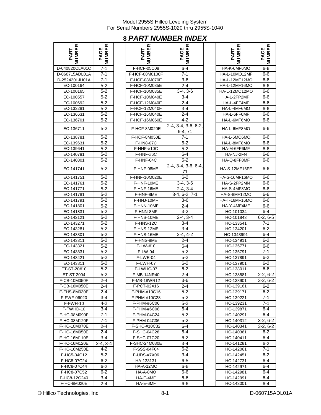# **8** *PART NUMBER INDEX*

| <b>BER</b><br>ART                     | ER<br>ш<br>ভ্ |
|---------------------------------------|---------------|
| D-040820CLA01C                        | $7 - 1$       |
| D-060715ADL01A                        | $7 - 1$       |
|                                       |               |
| D-252420LJH01A                        | $7 - 1$       |
| EC-100164                             | 5-2           |
| EC-100165                             | <u>5-2</u>    |
| EC-100557                             | 5-2           |
| EC-100692                             | $5 - 2$       |
| EC-133281                             | $5 - 2$       |
| EC-136631                             | $5 - 2$       |
| EC-136701                             | $5 - 2$       |
| EC-136711                             | 5-2           |
|                                       | $5 - 2$       |
| EC-138781<br>EC-139631                | 5-2           |
|                                       |               |
| EC-139641                             | $5 - 2$       |
| EC-140781                             | 5-2           |
| EC-140801                             | 5-2           |
| EC-141741                             | 5-2           |
| EC-141751                             | $5 - 2$       |
| EC-141761                             | $5 - 2$       |
| <u>EC-141771</u>                      | $5 - 2$       |
| EC-141781                             | $5 - 2$       |
| EC-141791                             | $5 - 2$       |
| $\overline{EC}$ -141801               | $5 - 2$       |
| EC-141831                             | $5 - 2$       |
| EC-142121                             | $5 - 2$       |
| -143271<br>EС                         | 5-2           |
| EC-143281                             | 5-2           |
| EC-143301                             | $5 - 2$       |
| EC-143311                             | $5 - 2$       |
| EC-143321                             | $5 - 2$       |
|                                       | $5 - 2$       |
| EC-143331                             |               |
| EC-143421                             | $5 - 2$       |
| EC-143811                             | $5 - 2$       |
| ET-ST-20#10                           | 5-2           |
| ET-ST-2004                            | $5 - 2$       |
| F-CB-10M050F                          | $2 - 4$       |
| F-CB-16M050E                          | 2-4           |
| F-FHS-8M030E                          | $2 - 4$       |
| F-FWF-06020                           | $3 - 4$       |
| F-FWH-10                              | $4 - 2$       |
| F-FWHD-10                             | $3 - 4$       |
| F-HC-08M090F                          | 7-1           |
| F-HC-08M120F                          | $7 - 1$       |
| F-HC-10M070E                          | 2-4           |
| F-HC-16M050E                          | $2 - 4$       |
| F-HC-16M110E                          | $3 - 4$       |
| F-HC-16M120E                          | $2-4, 3-4$    |
| F-HC-16M250E                          | $4 - 2$       |
| F-HC5-04C12                           | 5-2           |
| F-HC8-07C24                           | $6 - 2$       |
| F-HC8-07C44                           |               |
|                                       | 6-2           |
| F-HC8-07C52                           | 6-2           |
| F-HC8-12C240<br>$: U \cap 0$ M $\cap$ | $3 - 4$       |

| <b>NUMBER</b><br>PART        | PAGE<br>NUMBER | NUMBER<br>PART             | PAGE<br>NUMBER                     | NUMBER<br>PART         | PAGE<br>NUMBER |
|------------------------------|----------------|----------------------------|------------------------------------|------------------------|----------------|
| D-040820CLA01C               | $7 - 1$        | F-HCF-05C08                | $6 - 4$                            | HA-K-6MF6MO            | $6-6$          |
| D-060715ADL01A               | 7-1            | F-HCF-08M0100F             | 7-1                                | HA-L-10MO12MF          | $6-6$          |
| D-252420LJH01A               | $7 - 1$        | F-HCF-08M070E              | $3-6$                              | HA-L-12MF12MO          | 6-6            |
| EC-100164                    | $5 - 2$        | F-HCF-10M035E              | $2 - 4$                            | HA-L-12MF16MO          | $6-6$          |
| EC-100165                    | $5 - 2$        | F-HCF-10M035E              | $3-4, 3-6$                         | HA-L-12MO12MO          | $6-6$          |
| EC-100557                    | $5-2$          | F-HCF-10M040E              | $3 - 4$                            | HA-L-2FP2MP            | $6 - 6$        |
| EC-100692                    | $5 - 2$        | F-HCF-12M040E              | $2 - 4$                            | HA-L-4FF4MF            | $6-6$          |
| EC-133281                    | $5 - 2$        | F-HCF-12M040F              | $3 - 4$                            | HA-L-4MF6MO            | 6-6            |
| EC-136631                    | $5 - 2$        | F-HCF-16M040E              | $2 - 4$                            | HA-L-6FF6MF            | 6-6            |
| EC-136701                    | $5 - 2$        | F-HCF-16M060E              | $4 - 2$                            | HA-L-6MF6MO            | $6-6$          |
| EC-136711                    | $5 - 2$        | F-HCF-8M020E               | $2-4, 3-4, 3-6, 6-2,$<br>$6-4, 71$ | HA-L-6MF8MO            | $6-6$          |
| EC-138781                    | $5 - 2$        | F-HCF-8M050E               | $7 - 1$                            | HA-L-6MO6MO            | 6-6            |
| EC-139631                    | $5 - 2$        | F-HN8-07C                  | 6-2                                | HA-L-8MF8MO            | 6-6            |
| EC-139641                    | $5 - 2$        | F-HNF-#10C                 | $5 - 2$                            | HA-M-6FF6MF            | 6-6            |
| EC-140781                    | $5 - 2$        | F-HNF-#6C                  | $6 - 4$                            | HA-NJ-2FN              | $6-6$          |
| EC-140801                    | $5 - 2$        | F-HNF-04C                  | $5 - 2$                            | HA-Q-8FF8MF            | $6-6$          |
| EC-141741                    | $5 - 2$        | F-HNF-08ME                 | 2-4, 3-4, 3-6, 6-4,<br>71          | HA-S-12MF16FF          | $6-6$          |
| EC-141751                    | $5-2$          | F-HNF-10M020E              | $6 - 2$                            | <b>HA-S-16MF16MO</b>   | $6-6$          |
| EC-141761                    | $5 - 2$        | F-HNF-10ME                 | $3-4, 3-6$                         | HA-S-2FP2MN            | $6-6$          |
| EC-141771                    | $5 - 2$        | F-HNF-16ME                 | $2-4, 3-4$                         | HA-S-4MF8MO            | $6-6$          |
| EC-141781                    | $5-2$          | F-HNF-8ME                  | $3-4, 6-2, 7-1$                    | HA-S-8MF12MO           | $6-6$          |
| EC-141791                    | $5 - 2$        | F-HNJ-10MF                 | $3-6$                              | <b>HA-T-16MF16MO</b>   | 6-6            |
| EC-141801                    | $5 - 2$        | F-HNN-10MF                 | 2-4                                | HA-Y-4MF4MF            | 6-6            |
| EC-141831                    | 5-2            | F-HNN-8MF                  | $3-2$                              | HC-101034              | $6 - 4$        |
| EC-142121                    | $5 - 2$        | F-HNS-10ME                 | $2-4, 3-4$                         | HC-101843              | $6-2, 6-5$     |
| EC-143271                    | $5 - 2$        | F-HNS-12C                  | $3 - 4$                            | HC-133541              | $7 - 1$        |
| EC-143281                    | $5 - 2$        | F-HNS-12ME                 | $3 - 4$                            | HC-134201              | 6-2            |
| EC-143301                    | $5 - 2$        | F-HNS-16ME                 | $2-4, 4-2$                         | HC-1343991             | 6-4            |
| EC-143311                    | $5 - 2$        | F-HNS-8ME                  | 2-4                                | HC-134911              | 6-2            |
| EC-143321                    | $5-2$          | $F-LW-#10$                 | 6-4                                | HC-135771              | 6-6            |
| EC-143331                    | $5 - 2$        | F-LW-04                    | $5 - 2$                            | HC-135791              | $7 - 1$        |
| EC-143421                    | $5 - 2$        | F-LWE-04                   | $5 - 2$                            | HC-137891              | $6 - 2$        |
| EC-143811                    | $5 - 2$        | F-LWH-07                   | $6 - 2$                            | HC-137901              | $6 - 2$        |
| ET-ST-20#10                  | 5-2            | F-LWHC-07                  | 6-2                                | HC-138011              | 6-6            |
| ET-ST-2004                   | $5 - 2$        | F-MB-14NR40                | $2 - 4$                            | HC-138581              | $2 - 2, 6 - 2$ |
| F-CB-10M050F                 | 2-4            | F-MB-18WR12                | 3-6                                | HC-138901              | $3-2, 6-2$     |
| F-CB-16M050E                 | $2 - 4$        | F-PCT-02X16                | $2 - 4$                            | HC-139161              | 6-2            |
| F-FHS-8M030E                 | 2-4            | F-PHM-#10C16               | $5 - 2$                            | HC-139171              | $6 - 2$        |
| F-FWF-06020                  | 3-4            | F-PHM-#10C28               | 5-2                                | HC-139221              | 7-1            |
| F-FWH-10                     | 4-2            | F-PHM-#6C06                | 5-2                                | HC-139231              | 7-1            |
| F-FWHD-10                    | 3-4            | F-PHM-#6C08                | 6-4                                | HC-139871              | 6-4            |
| F-HC-08M090F                 | 7-1            | F-PHM-04C24                | $5 - 2$                            | HC-140291              | 6-4            |
| F-HC-08M120F                 | 7-1            | F-PHM-04C36                | $5 - 2$                            | HC-140312              | $3-2, 6-2$     |
| F-HC-10M070E                 | 2-4            | F-SHC-#10C32               | 6-4                                | HC-140341              | $3-2, 6-2$     |
| F-HC-16M050E                 | 2-4<br>3-4     | F-SHC-04C28<br>F-SHC-07C20 | 6-4<br>$6 - 2$                     | HC-140361              | 6-2            |
| F-HC-16M110E<br>F-HC-16M120E | $2 - 4.3 - 4$  | F-SHC-24M080E              | 3-4                                | HC-140411<br>HC-141281 | 6-4<br>6-2     |
| F-HC-16M250E                 | 4-2            | F-SSS-04F04                | $6 - 2$                            | HC-142061              | 7-1            |
| F-HC5-04C12                  | $5 - 2$        | F-UDS-#7X06                | $3 - 4$                            | HC-142451              | 6-2            |
| F-HC8-07C24                  | 6-2            | HA-133131                  | 6-5                                | HC-142731              | 6-4            |
| F-HC8-07C44                  | 6-2            | HA-A-12MO                  | 6-6                                | HC-142971              | 6-4            |
| F-HC8-07C52                  | 6-2            | HA-A-8MO                   | 6-6                                | HC-142981              | 6-4            |
| F-HC8-12C240                 | 3-4            | HA-E-4MF                   | $6-6$                              | HC-142991              | 6-4            |
| F-HC-8M020E                  | $2 - 4$        | HA-E-6MF                   | 6-6                                | HC-143001              | 6-4            |

| I \ III<br>שו                                            |                        |                       |
|----------------------------------------------------------|------------------------|-----------------------|
| <b>PAGE<br/>NUMBER</b>                                   | <b>VIBER</b><br>PART   | <b>NUMBER</b><br>PAGE |
| $6 - 4$                                                  | HA-K-6MF6MO            | 6-6                   |
| $7 - 1$                                                  | HA-L-10MO12MF          | $6 - 6$               |
| $3-6$                                                    | <b>HA-L-12MF12MO</b>   | $6-6$                 |
| $2 - 4$                                                  | HA-L-12MF16MO          | 6-6                   |
| $3-4, 3-6$                                               | HA-L-12MO12MO          | 6-6                   |
| $3-4$                                                    | HA-L-2FP2MP            | 6-6                   |
| $2 - 4$                                                  | HA-L-4FF4MF            | 6-6                   |
| $3 - 4$                                                  | HA-L-4MF6MO            | 6-6                   |
| $2 - 4$                                                  | HA-L-6FF6MF            | 6-6                   |
| $4-2$                                                    | HA-L-6MF6MO            | $6-6$                 |
| $\overline{3-4}$ , $\overline{3-6}$ , $\overline{6-2}$ , |                        |                       |
| 6-4, 71                                                  | HA-L-6MF8MO            | 6-6                   |
| $7 - 1$                                                  | HA-L-6MO6MO            | 6-6                   |
| $6 - 2$                                                  | HA-L-8MF8MO            | $6-6$                 |
| $5 - 2$                                                  | HA-M-6FF6MF            | 6-6                   |
| 6-4                                                      | HA-NJ-2FN              | 6-6                   |
| -5-2                                                     | HA-Q-8FF8MF            | $6-6$                 |
| $3-4, 3-6, 6-4,$                                         |                        |                       |
| 71                                                       | HA-S-12MF16FF          | $6-6$                 |
| $6 - 2$                                                  | HA-S-16MF16MO          | $6-6$                 |
| 3-4, 3-6                                                 | HA-S-2FP2MN            | 6-6                   |
| $2-4, 3-4$                                               | HA-S-4MF8MO            | 6-6                   |
|                                                          | HA-S-8MF12MO           |                       |
| 4, 6-2, 7-1                                              |                        | 6-6                   |
| $3-6$<br>$2 - 4$                                         | HA-T-16MF16MO          | 6-6                   |
| $3 - 2$                                                  | HA-Y-4MF4MF            | 6-6<br>6-4            |
|                                                          | HC-101034<br>HC-101843 |                       |
| $\overline{2-4}$ , 3-4                                   |                        | $6-2, 6-5$<br>$7 - 1$ |
| $3 - 4$                                                  | HC-133541              |                       |
| $3 - 4$                                                  | HC-134201              | $6 - 2$               |
| 2-4, 4-2                                                 | HC-1343991             | $6 - 4$               |
| $2 - 4$                                                  | HC-134911<br>HC-135771 | $6 - 2$               |
| $6 - 4$<br>$5 - 2$                                       | HC-135791              | 6-6<br>$7 - 1$        |
|                                                          |                        |                       |
| $5 - 2$                                                  | HC-137891              | $6-2$                 |
| $6 - 2$                                                  | HC-137901              | 6-2                   |
| 6-2<br>$\overline{2-4}$                                  | HC-138011              | 6-6                   |
| $3-6$                                                    | HC-138581              | $2-2, 6-2$            |
|                                                          | HC-138901              | 3-2, 6-2              |
| $2 - 4$                                                  | HC-139161              | $6 - 2$               |
| $5-2$                                                    | HC-139171              | $6 - 2$               |
| $5 - 2$                                                  | HC-139221              | 7-1                   |
| $5 - 2$                                                  | HC-139231<br>HC-139871 | $7 - 1$<br>$6 - 4$    |
| 6-4<br>$5 - 2$                                           | HC-140291              | $6 - 4$               |
|                                                          | HC-140312              |                       |
| 5-2                                                      |                        | $3-2, 6-2$            |
| 6-4                                                      | HC-140341              | $3-2, 6-2$            |
| 6-4                                                      | HC-140361              | $6 - 2$               |
| $6 - 2$                                                  | HC-140411<br>HC-141281 | 6-4                   |
| $3 - 4$                                                  |                        | 6-2                   |
| $6 - 2$                                                  | HC-142061              | $7 - 1$               |
| $3 - 4$                                                  | HC-142451              | 6-2                   |
| $6-5$                                                    | HC-142731              | $6 - 4$               |
| 6-6                                                      | HC-142971              | $6 - 4$               |
| 6-6                                                      | HC-142981              | $6 - 4$               |
| 6-6<br>c c                                               | HC-142991<br>10.442004 | 6-4<br>C A            |

© Hillco Technologies, Inc. 69.1 Communication of the Material State of the D-060715ADL01A